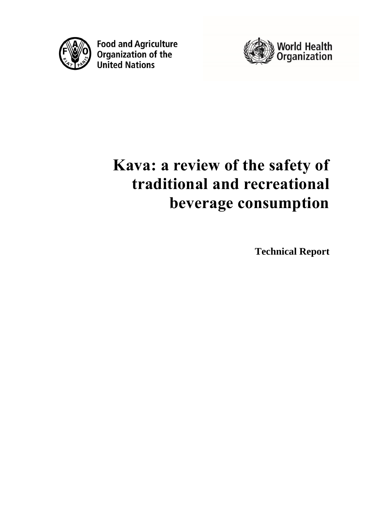

**Food and Agriculture**<br>Organization of the **United Nations** 



# **Kava: a review of the safety of traditional and recreational beverage consumption**

**Technical Report**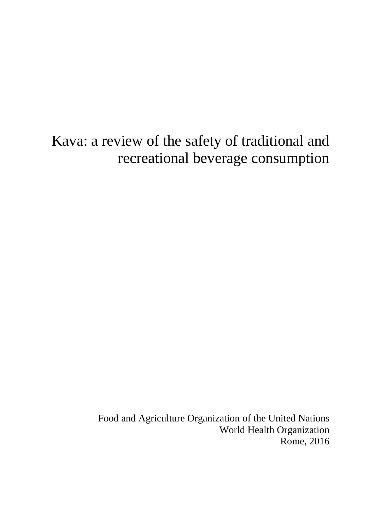# Kava: a review of the safety of traditional and recreational beverage consumption

Food and Agriculture Organization of the United Nations World Health Organization Rome, 2016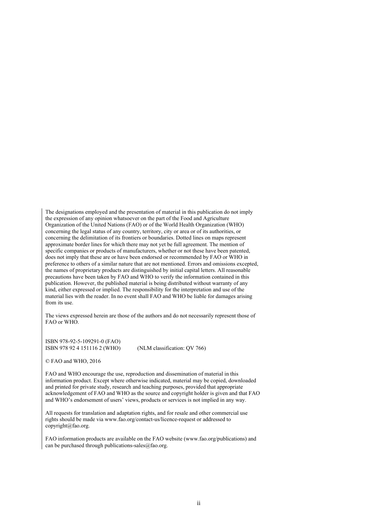The designations employed and the presentation of material in this publication do not imply the expression of any opinion whatsoever on the part of the Food and Agriculture Organization of the United Nations (FAO) or of the World Health Organization (WHO) concerning the legal status of any country, territory, city or area or of its authorities, or concerning the delimitation of its frontiers or boundaries. Dotted lines on maps represent approximate border lines for which there may not yet be full agreement. The mention of specific companies or products of manufacturers, whether or not these have been patented, does not imply that these are or have been endorsed or recommended by FAO or WHO in preference to others of a similar nature that are not mentioned. Errors and omissions excepted, the names of proprietary products are distinguished by initial capital letters. All reasonable precautions have been taken by FAO and WHO to verify the information contained in this publication. However, the published material is being distributed without warranty of any kind, either expressed or implied. The responsibility for the interpretation and use of the material lies with the reader. In no event shall FAO and WHO be liable for damages arising from its use.

The views expressed herein are those of the authors and do not necessarily represent those of FAO or WHO.

ISBN 978-92-5-109291-0 (FAO) ISBN 978 92 4 151116 2 (WHO) (NLM classification: QV 766)

© FAO and WHO, 2016

FAO and WHO encourage the use, reproduction and dissemination of material in this information product. Except where otherwise indicated, material may be copied, downloaded and printed for private study, research and teaching purposes, provided that appropriate acknowledgement of FAO and WHO as the source and copyright holder is given and that FAO and WHO's endorsement of users' views, products or services is not implied in any way.

All requests for translation and adaptation rights, and for resale and other commercial use rights should be made via www.fao.org/contact-us/licence-request or addressed to copyright@fao.org.

FAO information products are available on the FAO website (www.fao.org/publications) and can be purchased through publications-sales@fao.org.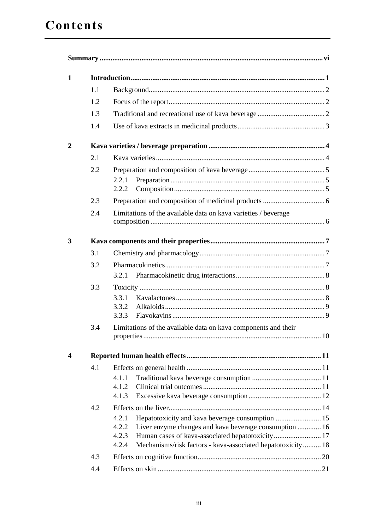| 1            |     |                                                                       |  |  |  |
|--------------|-----|-----------------------------------------------------------------------|--|--|--|
|              | 1.1 |                                                                       |  |  |  |
|              | 1.2 |                                                                       |  |  |  |
|              | 1.3 |                                                                       |  |  |  |
|              | 1.4 |                                                                       |  |  |  |
| $\mathbf{2}$ |     |                                                                       |  |  |  |
|              | 2.1 |                                                                       |  |  |  |
|              | 2.2 |                                                                       |  |  |  |
|              |     | 2.2.1                                                                 |  |  |  |
|              |     | 2.2.2                                                                 |  |  |  |
|              | 2.3 |                                                                       |  |  |  |
|              | 2.4 | Limitations of the available data on kava varieties / beverage        |  |  |  |
| 3            |     |                                                                       |  |  |  |
|              | 3.1 |                                                                       |  |  |  |
|              |     |                                                                       |  |  |  |
|              | 3.2 | 3.2.1                                                                 |  |  |  |
|              | 3.3 |                                                                       |  |  |  |
|              |     | 3.3.1                                                                 |  |  |  |
|              |     | 3.3.2                                                                 |  |  |  |
|              |     | 3.3.3                                                                 |  |  |  |
|              | 3.4 | Limitations of the available data on kava components and their<br>.10 |  |  |  |
|              |     |                                                                       |  |  |  |
| 4            |     |                                                                       |  |  |  |
|              | 4.1 |                                                                       |  |  |  |
|              |     | 4.1.1                                                                 |  |  |  |
|              |     | 4.1.2<br>4.1.3                                                        |  |  |  |
|              | 4.2 |                                                                       |  |  |  |
|              |     | 4.2.1                                                                 |  |  |  |
|              |     | 4.2.2<br>Liver enzyme changes and kava beverage consumption  16       |  |  |  |
|              |     | Human cases of kava-associated hepatotoxicity 17<br>4.2.3             |  |  |  |
|              |     | Mechanisms/risk factors - kava-associated hepatotoxicity 18<br>4.2.4  |  |  |  |
|              | 4.3 |                                                                       |  |  |  |
|              | 4.4 |                                                                       |  |  |  |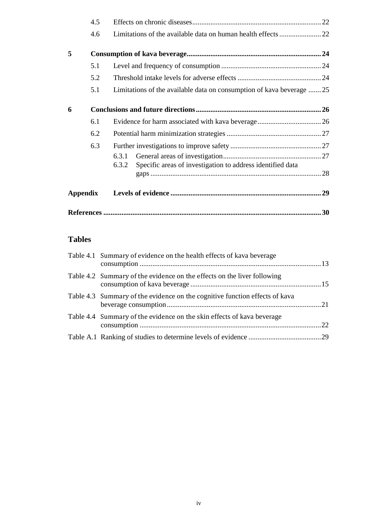|                 | 4.5 |                                                                      |  |
|-----------------|-----|----------------------------------------------------------------------|--|
|                 | 4.6 |                                                                      |  |
| 5               |     |                                                                      |  |
|                 | 5.1 |                                                                      |  |
|                 | 5.2 |                                                                      |  |
|                 | 5.1 | Limitations of the available data on consumption of kava beverage 25 |  |
| 6               |     |                                                                      |  |
|                 | 6.1 |                                                                      |  |
|                 | 6.2 |                                                                      |  |
|                 | 6.3 |                                                                      |  |
|                 |     | 6.3.1                                                                |  |
|                 |     | Specific areas of investigation to address identified data<br>6.3.2  |  |
| <b>Appendix</b> |     |                                                                      |  |
|                 |     |                                                                      |  |

## **Tables**

| Table 4.1 Summary of evidence on the health effects of kava beverage        |  |
|-----------------------------------------------------------------------------|--|
| Table 4.2 Summary of the evidence on the effects on the liver following     |  |
| Table 4.3 Summary of the evidence on the cognitive function effects of kava |  |
| Table 4.4 Summary of the evidence on the skin effects of kava beverage      |  |
|                                                                             |  |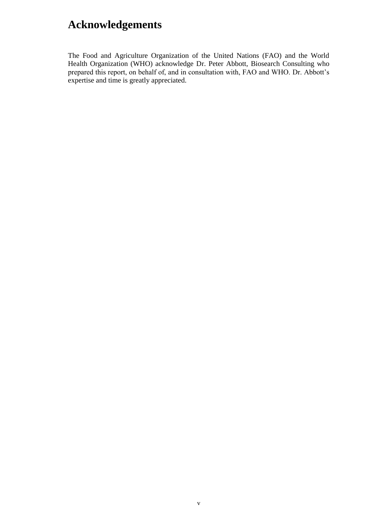## **Acknowledgements**

The Food and Agriculture Organization of the United Nations (FAO) and the World Health Organization (WHO) acknowledge Dr. Peter Abbott, Biosearch Consulting who prepared this report, on behalf of, and in consultation with, FAO and WHO. Dr. Abbott's expertise and time is greatly appreciated.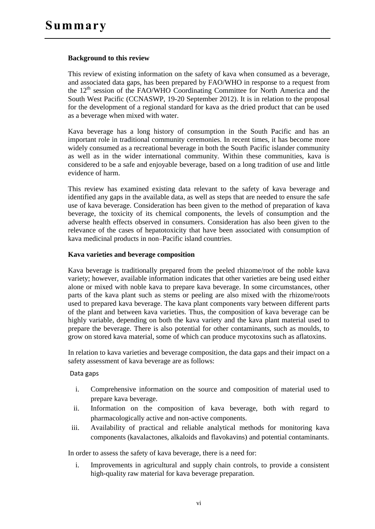#### **Background to this review**

This review of existing information on the safety of kava when consumed as a beverage, and associated data gaps, has been prepared by FAO/WHO in response to a request from the  $12<sup>th</sup>$  session of the FAO/WHO Coordinating Committee for North America and the South West Pacific (CCNASWP, 19-20 September 2012). It is in relation to the proposal for the development of a regional standard for kava as the dried product that can be used as a beverage when mixed with water.

Kava beverage has a long history of consumption in the South Pacific and has an important role in traditional community ceremonies. In recent times, it has become more widely consumed as a recreational beverage in both the South Pacific islander community as well as in the wider international community. Within these communities, kava is considered to be a safe and enjoyable beverage, based on a long tradition of use and little evidence of harm.

This review has examined existing data relevant to the safety of kava beverage and identified any gaps in the available data, as well as steps that are needed to ensure the safe use of kava beverage. Consideration has been given to the method of preparation of kava beverage, the toxicity of its chemical components, the levels of consumption and the adverse health effects observed in consumers. Consideration has also been given to the relevance of the cases of hepatotoxicity that have been associated with consumption of kava medicinal products in non–Pacific island countries.

#### **Kava varieties and beverage composition**

Kava beverage is traditionally prepared from the peeled rhizome/root of the noble kava variety; however, available information indicates that other varieties are being used either alone or mixed with noble kava to prepare kava beverage. In some circumstances, other parts of the kava plant such as stems or peeling are also mixed with the rhizome/roots used to prepared kava beverage. The kava plant components vary between different parts of the plant and between kava varieties. Thus, the composition of kava beverage can be highly variable, depending on both the kava variety and the kava plant material used to prepare the beverage. There is also potential for other contaminants, such as moulds, to grow on stored kava material, some of which can produce mycotoxins such as aflatoxins.

In relation to kava varieties and beverage composition, the data gaps and their impact on a safety assessment of kava beverage are as follows:

#### Data gaps

- i. Comprehensive information on the source and composition of material used to prepare kava beverage.
- ii. Information on the composition of kava beverage, both with regard to pharmacologically active and non-active components.
- iii. Availability of practical and reliable analytical methods for monitoring kava components (kavalactones, alkaloids and flavokavins) and potential contaminants.

In order to assess the safety of kava beverage, there is a need for:

i. Improvements in agricultural and supply chain controls, to provide a consistent high-quality raw material for kava beverage preparation.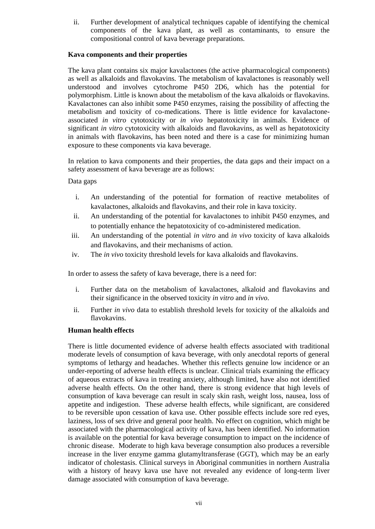ii. Further development of analytical techniques capable of identifying the chemical components of the kava plant, as well as contaminants, to ensure the compositional control of kava beverage preparations.

#### **Kava components and their properties**

The kava plant contains six major kavalactones (the active pharmacological components) as well as alkaloids and flavokavins. The metabolism of kavalactones is reasonably well understood and involves cytochrome P450 2D6, which has the potential for polymorphism. Little is known about the metabolism of the kava alkaloids or flavokavins. Kavalactones can also inhibit some P450 enzymes, raising the possibility of affecting the metabolism and toxicity of co-medications. There is little evidence for kavalactoneassociated *in vitro* cytotoxicity or *in vivo* hepatotoxicity in animals. Evidence of significant *in vitro* cytotoxicity with alkaloids and flavokavins, as well as hepatotoxicity in animals with flavokavins, has been noted and there is a case for minimizing human exposure to these components via kava beverage.

In relation to kava components and their properties, the data gaps and their impact on a safety assessment of kava beverage are as follows:

#### Data gaps

- i. An understanding of the potential for formation of reactive metabolites of kavalactones, alkaloids and flavokavins, and their role in kava toxicity.
- ii. An understanding of the potential for kavalactones to inhibit P450 enzymes, and to potentially enhance the hepatotoxicity of co-administered medication.
- iii. An understanding of the potential *in vitro* and *in vivo* toxicity of kava alkaloids and flavokavins, and their mechanisms of action.
- iv. The *in vivo* toxicity threshold levels for kava alkaloids and flavokavins.

In order to assess the safety of kava beverage, there is a need for:

- i. Further data on the metabolism of kavalactones, alkaloid and flavokavins and their significance in the observed toxicity *in vitro* and *in vivo*.
- ii. Further *in vivo* data to establish threshold levels for toxicity of the alkaloids and flavokavins.

#### **Human health effects**

There is little documented evidence of adverse health effects associated with traditional moderate levels of consumption of kava beverage, with only anecdotal reports of general symptoms of lethargy and headaches. Whether this reflects genuine low incidence or an under-reporting of adverse health effects is unclear. Clinical trials examining the efficacy of aqueous extracts of kava in treating anxiety, although limited, have also not identified adverse health effects. On the other hand, there is strong evidence that high levels of consumption of kava beverage can result in scaly skin rash, weight loss, nausea, loss of appetite and indigestion. These adverse health effects, while significant, are considered to be reversible upon cessation of kava use. Other possible effects include sore red eyes, laziness, loss of sex drive and general poor health. No effect on cognition, which might be associated with the pharmacological activity of kava, has been identified. No information is available on the potential for kava beverage consumption to impact on the incidence of chronic disease. Moderate to high kava beverage consumption also produces a reversible increase in the liver enzyme gamma glutamyltransferase (GGT), which may be an early indicator of cholestasis. Clinical surveys in Aboriginal communities in northern Australia with a history of heavy kava use have not revealed any evidence of long-term liver damage associated with consumption of kava beverage.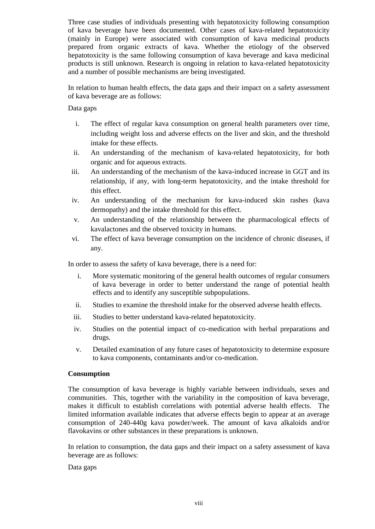Three case studies of individuals presenting with hepatotoxicity following consumption of kava beverage have been documented. Other cases of kava-related hepatotoxicity (mainly in Europe) were associated with consumption of kava medicinal products prepared from organic extracts of kava. Whether the etiology of the observed hepatotoxicity is the same following consumption of kava beverage and kava medicinal products is still unknown. Research is ongoing in relation to kava-related hepatotoxicity and a number of possible mechanisms are being investigated.

In relation to human health effects, the data gaps and their impact on a safety assessment of kava beverage are as follows:

Data gaps

- i. The effect of regular kava consumption on general health parameters over time, including weight loss and adverse effects on the liver and skin, and the threshold intake for these effects.
- ii. An understanding of the mechanism of kava-related hepatotoxicity, for both organic and for aqueous extracts.
- iii. An understanding of the mechanism of the kava-induced increase in GGT and its relationship, if any, with long-term hepatotoxicity, and the intake threshold for this effect.
- iv. An understanding of the mechanism for kava-induced skin rashes (kava dermopathy) and the intake threshold for this effect.
- v. An understanding of the relationship between the pharmacological effects of kavalactones and the observed toxicity in humans.
- vi. The effect of kava beverage consumption on the incidence of chronic diseases, if any.

In order to assess the safety of kava beverage, there is a need for:

- i. More systematic monitoring of the general health outcomes of regular consumers of kava beverage in order to better understand the range of potential health effects and to identify any susceptible subpopulations.
- ii. Studies to examine the threshold intake for the observed adverse health effects.
- iii. Studies to better understand kava-related hepatotoxicity.
- iv. Studies on the potential impact of co-medication with herbal preparations and drugs.
- v. Detailed examination of any future cases of hepatotoxicity to determine exposure to kava components, contaminants and/or co-medication.

#### **Consumption**

The consumption of kava beverage is highly variable between individuals, sexes and communities. This, together with the variability in the composition of kava beverage, makes it difficult to establish correlations with potential adverse health effects. The limited information available indicates that adverse effects begin to appear at an average consumption of 240-440g kava powder/week. The amount of kava alkaloids and/or flavokavins or other substances in these preparations is unknown.

In relation to consumption, the data gaps and their impact on a safety assessment of kava beverage are as follows:

Data gaps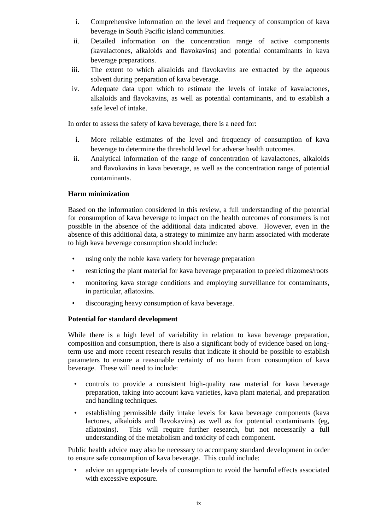- i. Comprehensive information on the level and frequency of consumption of kava beverage in South Pacific island communities.
- ii. Detailed information on the concentration range of active components (kavalactones, alkaloids and flavokavins) and potential contaminants in kava beverage preparations.
- iii. The extent to which alkaloids and flavokavins are extracted by the aqueous solvent during preparation of kava beverage.
- iv. Adequate data upon which to estimate the levels of intake of kavalactones, alkaloids and flavokavins, as well as potential contaminants, and to establish a safe level of intake.

In order to assess the safety of kava beverage, there is a need for:

- **i.** More reliable estimates of the level and frequency of consumption of kava beverage to determine the threshold level for adverse health outcomes.
- ii. Analytical information of the range of concentration of kavalactones, alkaloids and flavokavins in kava beverage, as well as the concentration range of potential contaminants.

#### **Harm minimization**

Based on the information considered in this review, a full understanding of the potential for consumption of kava beverage to impact on the health outcomes of consumers is not possible in the absence of the additional data indicated above. However, even in the absence of this additional data, a strategy to minimize any harm associated with moderate to high kava beverage consumption should include:

- using only the noble kava variety for beverage preparation
- restricting the plant material for kava beverage preparation to peeled rhizomes/roots
- monitoring kava storage conditions and employing surveillance for contaminants, in particular, aflatoxins.
- discouraging heavy consumption of kava beverage.

#### **Potential for standard development**

While there is a high level of variability in relation to kava beverage preparation, composition and consumption, there is also a significant body of evidence based on longterm use and more recent research results that indicate it should be possible to establish parameters to ensure a reasonable certainty of no harm from consumption of kava beverage. These will need to include:

- controls to provide a consistent high-quality raw material for kava beverage preparation, taking into account kava varieties, kava plant material, and preparation and handling techniques.
- establishing permissible daily intake levels for kava beverage components (kava lactones, alkaloids and flavokavins) as well as for potential contaminants (eg, aflatoxins). This will require further research, but not necessarily a full understanding of the metabolism and toxicity of each component.

Public health advice may also be necessary to accompany standard development in order to ensure safe consumption of kava beverage. This could include:

• advice on appropriate levels of consumption to avoid the harmful effects associated with excessive exposure.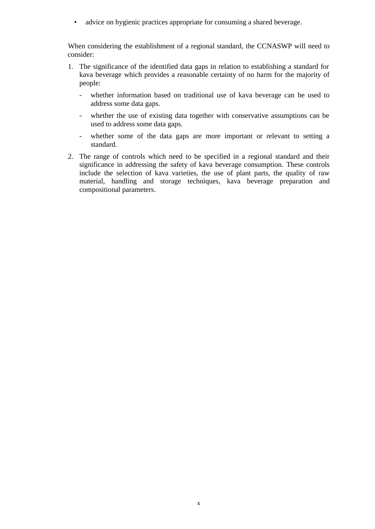• advice on hygienic practices appropriate for consuming a shared beverage.

When considering the establishment of a regional standard, the CCNASWP will need to consider:

- 1. The significance of the identified data gaps in relation to establishing a standard for kava beverage which provides a reasonable certainty of no harm for the majority of people:
	- whether information based on traditional use of kava beverage can be used to address some data gaps.
	- whether the use of existing data together with conservative assumptions can be used to address some data gaps.
	- whether some of the data gaps are more important or relevant to setting a standard.
- 2. The range of controls which need to be specified in a regional standard and their significance in addressing the safety of kava beverage consumption. These controls include the selection of kava varieties, the use of plant parts, the quality of raw material, handling and storage techniques, kava beverage preparation and compositional parameters.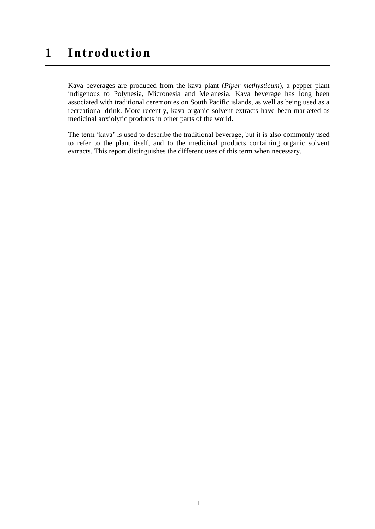## **1 Introduction**

Kava beverages are produced from the kava plant (*Piper methysticum*), a pepper plant indigenous to Polynesia, Micronesia and Melanesia. Kava beverage has long been associated with traditional ceremonies on South Pacific islands, as well as being used as a recreational drink. More recently, kava organic solvent extracts have been marketed as medicinal anxiolytic products in other parts of the world.

The term 'kava' is used to describe the traditional beverage, but it is also commonly used to refer to the plant itself, and to the medicinal products containing organic solvent extracts. This report distinguishes the different uses of this term when necessary.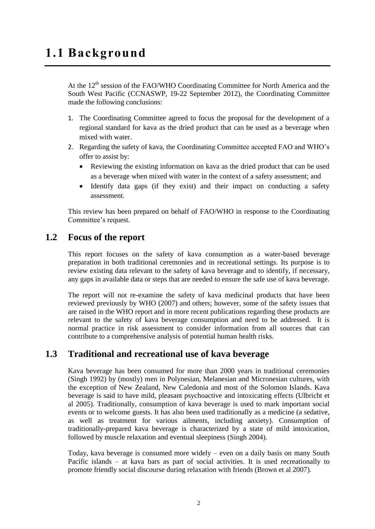At the  $12<sup>th</sup>$  session of the FAO/WHO Coordinating Committee for North America and the South West Pacific (CCNASWP, 19-22 September 2012), the Coordinating Committee made the following conclusions:

- 1. The Coordinating Committee agreed to focus the proposal for the development of a regional standard for kava as the dried product that can be used as a beverage when mixed with water.
- 2. Regarding the safety of kava, the Coordinating Committee accepted FAO and WHO's offer to assist by:
	- Reviewing the existing information on kava as the dried product that can be used as a beverage when mixed with water in the context of a safety assessment; and
	- Identify data gaps (if they exist) and their impact on conducting a safety assessment.

This review has been prepared on behalf of FAO/WHO in response to the Coordinating Committee's request.

## **1.2 Focus of the report**

This report focuses on the safety of kava consumption as a water-based beverage preparation in both traditional ceremonies and in recreational settings. Its purpose is to review existing data relevant to the safety of kava beverage and to identify, if necessary, any gaps in available data or steps that are needed to ensure the safe use of kava beverage.

The report will not re-examine the safety of kava medicinal products that have been reviewed previously by [WHO \(2007\)](#page-44-0) and others; however, some of the safety issues that are raised in the WHO report and in more recent publications regarding these products are relevant to the safety of kava beverage consumption and need to be addressed. It is normal practice in risk assessment to consider information from all sources that can contribute to a comprehensive analysis of potential human health risks.

## **1.3 Traditional and recreational use of kava beverage**

Kava beverage has been consumed for more than 2000 years in traditional ceremonies [\(Singh 1992\)](#page-44-1) by (mostly) men in Polynesian, Melanesian and Micronesian cultures, with the exception of New Zealand, New Caledonia and most of the Solomon Islands. Kava beverage is said to have mild, pleasant psychoactive and intoxicating effects [\(Ulbricht et](#page-44-2)  [al 2005\)](#page-44-2). Traditionally, consumption of kava beverage is used to mark important social events or to welcome guests. It has also been used traditionally as a medicine (a sedative, as well as treatment for various ailments, including anxiety). Consumption of traditionally-prepared kava beverage is characterized by a state of mild intoxication, followed by muscle relaxation and eventual sleepiness [\(Singh 2004\)](#page-44-3).

Today, kava beverage is consumed more widely – even on a daily basis on many South Pacific islands – at kava bars as part of social activities. It is used recreationally to promote friendly social discourse during relaxation with friends [\(Brown et al 2007\)](#page-41-0).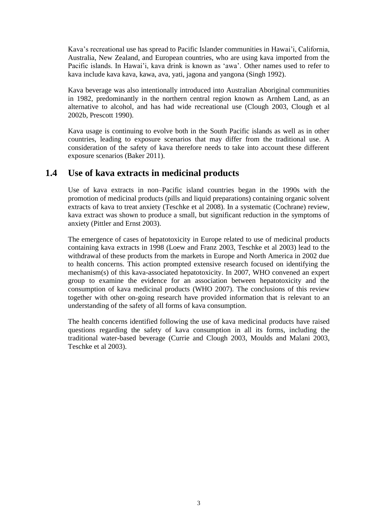Kava's recreational use has spread to Pacific Islander communities in Hawai'i, California, Australia, New Zealand, and European countries, who are using kava imported from the Pacific islands. In Hawai'i, kava drink is known as 'awa'. Other names used to refer to kava include kava kava, kawa, ava, yati, jagona and yangona [\(Singh 1992\)](#page-44-1).

Kava beverage was also intentionally introduced into Australian Aboriginal communities in 1982, predominantly in the northern central region known as Arnhem Land, as an alternative to alcohol, and has had wide recreational use [\(Clough 2003,](#page-41-1) [Clough et al](#page-41-2)  [2002b,](#page-41-2) [Prescott 1990\)](#page-43-0).

Kava usage is continuing to evolve both in the South Pacific islands as well as in other countries, leading to exposure scenarios that may differ from the traditional use. A consideration of the safety of kava therefore needs to take into account these different exposure scenarios [\(Baker 2011\)](#page-41-3).

## **1.4 Use of kava extracts in medicinal products**

Use of kava extracts in non–Pacific island countries began in the 1990s with the promotion of medicinal products (pills and liquid preparations) containing organic solvent extracts of kava to treat anxiety [\(Teschke et al 2008\)](#page-44-4). In a systematic (Cochrane) review, kava extract was shown to produce a small, but significant reduction in the symptoms of anxiety [\(Pittler and Ernst 2003\)](#page-43-1).

The emergence of cases of hepatotoxicity in Europe related to use of medicinal products containing kava extracts in 1998 [\(Loew and Franz 2003,](#page-42-0) [Teschke et al 2003\)](#page-44-5) lead to the withdrawal of these products from the markets in Europe and North America in 2002 due to health concerns. This action prompted extensive research focused on identifying the mechanism(s) of this kava-associated hepatotoxicity. In 2007, WHO convened an expert group to examine the evidence for an association between hepatotoxicity and the consumption of kava medicinal products [\(WHO 2007\)](#page-44-0). The conclusions of this review together with other on-going research have provided information that is relevant to an understanding of the safety of all forms of kava consumption.

The health concerns identified following the use of kava medicinal products have raised questions regarding the safety of kava consumption in all its forms, including the traditional water-based beverage [\(Currie and Clough 2003,](#page-42-1) [Moulds and Malani 2003,](#page-43-2) [Teschke et al 2003\)](#page-44-5).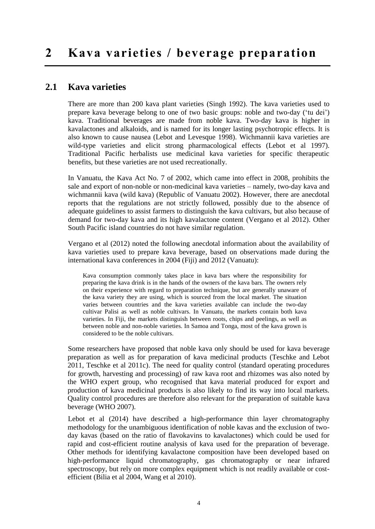## **2.1 Kava varieties**

There are more than 200 kava plant varieties [\(Singh 1992\)](#page-44-1). The kava varieties used to prepare kava beverage belong to one of two basic groups: noble and two-day ('tu dei') kava. Traditional beverages are made from noble kava. Two-day kava is higher in kavalactones and alkaloids, and is named for its longer lasting psychotropic effects. It is also known to cause nausea [\(Lebot and Levesque](#page-42-2) 1998). Wichmannii kava varieties are wild-type varieties and elicit strong pharmacological effects [\(Lebot et al 1997\)](#page-42-2). Traditional Pacific herbalists use medicinal kava varieties for specific therapeutic benefits, but these varieties are not used recreationally.

In Vanuatu, the Kava Act No. 7 of 2002, which came into effect in 2008, prohibits the sale and export of non-noble or non-medicinal kava varieties – namely, two-day kava and wichmannii kava (wild kava) [\(Republic of Vanuatu 2002\)](#page-43-3). However, there are anecdotal reports that the regulations are not strictly followed, possibly due to the absence of adequate guidelines to assist farmers to distinguish the kava cultivars, but also because of demand for two-day kava and its high kavalactone content [\(Vergano et](#page-44-6) al 2012). Other South Pacific island countries do not have similar regulation.

[Vergano et al \(2012\)](#page-44-6) noted the following anecdotal information about the availability of kava varieties used to prepare kava beverage, based on observations made during the international kava conferences in 2004 (Fiji) and 2012 (Vanuatu):

Kava consumption commonly takes place in kava bars where the responsibility for preparing the kava drink is in the hands of the owners of the kava bars. The owners rely on their experience with regard to preparation technique, but are generally unaware of the kava variety they are using, which is sourced from the local market. The situation varies between countries and the kava varieties available can include the two-day cultivar Palisi as well as noble cultivars. In Vanuatu, the markets contain both kava varieties. In Fiji, the markets distinguish between roots, chips and peelings, as well as between noble and non-noble varieties. In Samoa and Tonga, most of the kava grown is considered to be the noble cultivars.

Some researchers have proposed that noble kava only should be used for kava beverage preparation as well as for preparation of kava medicinal products [\(Teschke and Lebot](#page-44-7)  [2011,](#page-44-7) [Teschke et al 2011c\)](#page-44-8). The need for quality control (standard operating procedures for growth, harvesting and processing) of raw kava root and rhizomes was also noted by the WHO expert group, who recognised that kava material produced for export and production of kava medicinal products is also likely to find its way into local markets. Quality control procedures are therefore also relevant for the preparation of suitable kava beverage [\(WHO 2007\)](#page-44-0).

[Lebot et al \(2014\)](#page-42-3) have described a high-performance thin layer chromatography methodology for the unambiguous identification of noble kavas and the exclusion of twoday kavas (based on the ratio of flavokavins to kavalactones) which could be used for rapid and cost-efficient routine analysis of kava used for the preparation of beverage. Other methods for identifying kavalactone composition have been developed based on high-performance liquid chromatography, gas chromatography or near infrared spectroscopy, but rely on more complex equipment which is not readily available or costefficient [\(Bilia et al 2004,](#page-41-4) [Wang et al 2010\)](#page-44-9).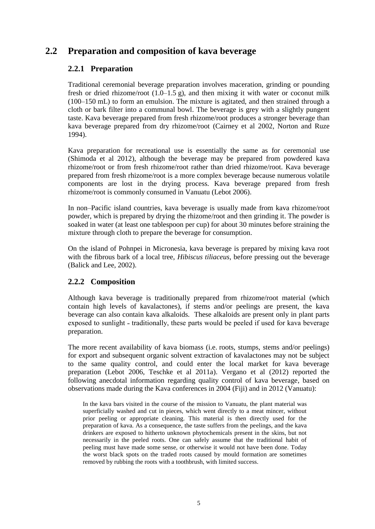## **2.2 Preparation and composition of kava beverage**

## **2.2.1 Preparation**

Traditional ceremonial beverage preparation involves maceration, grinding or pounding fresh or dried rhizome/root  $(1.0-1.5 \text{ g})$ , and then mixing it with water or coconut milk (100–150 mL) to form an emulsion. The mixture is agitated, and then strained through a cloth or bark filter into a communal bowl. The beverage is grey with a slightly pungent taste. Kava beverage prepared from fresh rhizome/root produces a stronger beverage than kava beverage prepared from dry rhizome/root [\(Cairney et al 2002,](#page-41-5) [Norton and Ruze](#page-43-4)  [1994\)](#page-43-4).

Kava preparation for recreational use is essentially the same as for ceremonial use [\(Shimoda et al 2012\)](#page-44-10), although the beverage may be prepared from powdered kava rhizome/root or from fresh rhizome/root rather than dried rhizome/root. Kava beverage prepared from fresh rhizome/root is a more complex beverage because numerous volatile components are lost in the drying process. Kava beverage prepared from fresh rhizome/root is commonly consumed in Vanuatu [\(Lebot 2006\)](#page-42-4).

In non–Pacific island countries, kava beverage is usually made from kava rhizome/root powder, which is prepared by drying the rhizome/root and then grinding it. The powder is soaked in water (at least one tablespoon per cup) for about 30 minutes before straining the mixture through cloth to prepare the beverage for consumption.

On the island of Pohnpei in Micronesia, kava beverage is prepared by mixing kava root with the fibrous bark of a local tree, *Hibiscus tiliaceus*, before pressing out the beverage (Balick and Lee, 2002).

## **2.2.2 Composition**

Although kava beverage is traditionally prepared from rhizome/root material (which contain high levels of kavalactones), if stems and/or peelings are present, the kava beverage can also contain kava alkaloids. These alkaloids are present only in plant parts exposed to sunlight – traditionally, these parts would be peeled if used for kava beverage preparation.

The more recent availability of kava biomass (i.e. roots, stumps, stems and/or peelings) for export and subsequent organic solvent extraction of kavalactones may not be subject to the same quality control, and could enter the local market for kava beverage preparation [\(Lebot](#page-42-4) 2006, [Teschke et al 2011a\)](#page-44-11). [Vergano et al \(2012\)](#page-44-6) reported the following anecdotal information regarding quality control of kava beverage, based on observations made during the Kava conferences in 2004 (Fiji) and in 2012 (Vanuatu):

In the kava bars visited in the course of the mission to Vanuatu, the plant material was superficially washed and cut in pieces, which went directly to a meat mincer, without prior peeling or appropriate cleaning. This material is then directly used for the preparation of kava. As a consequence, the taste suffers from the peelings, and the kava drinkers are exposed to hitherto unknown phytochemicals present in the skins, but not necessarily in the peeled roots. One can safely assume that the traditional habit of peeling must have made some sense, or otherwise it would not have been done. Today the worst black spots on the traded roots caused by mould formation are sometimes removed by rubbing the roots with a toothbrush, with limited success.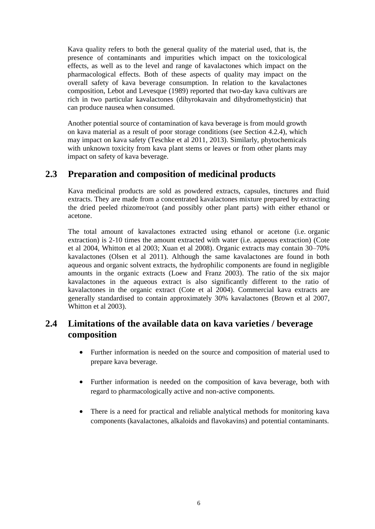Kava quality refers to both the general quality of the material used, that is, the presence of contaminants and impurities which impact on the toxicological effects, as well as to the level and range of kavalactones which impact on the pharmacological effects. Both of these aspects of quality may impact on the overall safety of kava beverage consumption. In relation to the kavalactones composition, Lebot and Levesque (1989) reported that two-day kava cultivars are rich in two particular kavalactones (dihyrokavain and dihydromethysticin) that can produce nausea when consumed.

Another potential source of contamination of kava beverage is from mould growth on kava material as a result of poor storage conditions (see Section 4.2.4), which may impact on kava safety (Teschke et al 2011, 2013). Similarly, phytochemicals with unknown toxicity from kava plant stems or leaves or from other plants may impact on safety of kava beverage.

## **2.3 Preparation and composition of medicinal products**

Kava medicinal products are sold as powdered extracts, capsules, tinctures and fluid extracts. They are made from a concentrated kavalactones mixture prepared by extracting the dried peeled rhizome/root (and possibly other plant parts) with either ethanol or acetone.

The total amount of kavalactones extracted using ethanol or acetone (i.e. organic extraction) is 2-10 times the amount extracted with water (i.e. aqueous extraction) [\(Cote](#page-42-5)  [et al 2004,](#page-42-5) [Whitton et al 2003;](#page-44-12) Xuan et al 2008). Organic extracts may contain 30–70% kavalactones [\(Olsen et al 2011\)](#page-43-5). Although the same kavalactones are found in both aqueous and organic solvent extracts, the hydrophilic components are found in negligible amounts in the organic extracts [\(Loew and Franz 2003\)](#page-42-0). The ratio of the six major kavalactones in the aqueous extract is also significantly different to the ratio of kavalactones in the organic extract [\(Cote et al 2004\)](#page-42-5). Commercial kava extracts are generally standardised to contain approximately 30% kavalactones [\(Brown et al 2007,](#page-41-0) [Whitton et al 2003\)](#page-44-12).

## **2.4 Limitations of the available data on kava varieties / beverage composition**

- Further information is needed on the source and composition of material used to prepare kava beverage.
- Further information is needed on the composition of kava beverage, both with regard to pharmacologically active and non-active components.
- There is a need for practical and reliable analytical methods for monitoring kava components (kavalactones, alkaloids and flavokavins) and potential contaminants.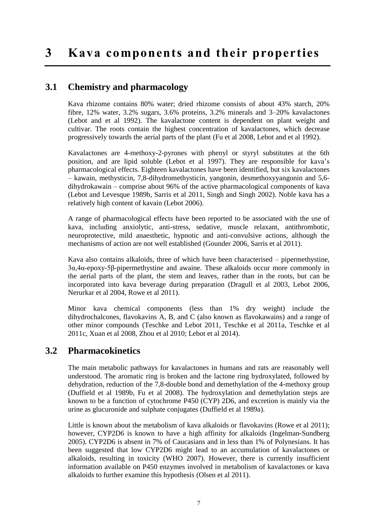## **3 Kava components and their properties**

## **3.1 Chemistry and pharmacology**

Kava rhizome contains 80% water; dried rhizome consists of about 43% starch, 20% fibre, 12% water, 3.2% sugars, 3.6% proteins, 3.2% minerals and 3–20% kavalactones [\(Lebot and et al 1992\)](#page-42-6). The kavalactone content is dependent on plant weight and cultivar. The roots contain the highest concentration of kavalactones, which decrease progressively towards the aerial parts of the plant [\(Fu et al 2008,](#page-42-7) [Lebot and et al 1992\)](#page-42-6).

Kavalactones are 4-methoxy-2-pyrones with phenyl or styryl substitutes at the 6th position, and are lipid soluble [\(Lebot et al 1997\)](#page-42-2). They are responsible for kava's pharmacological effects. Eighteen kavalactones have been identified, but six kavalactones – kawain, methysticin, 7,8-dihydromethysticin, yangonin, desmethoxyyangonin and 5,6 dihydrokawain – comprise about 96% of the active pharmacological components of kava [\(Lebot and Levesque 1989b,](#page-42-8) [Sarris et al 2011,](#page-43-6) [Singh and Singh 2002\)](#page-44-13). Noble kava has a relatively high content of kavain [\(Lebot 2006\)](#page-42-4).

A range of pharmacological effects have been reported to be associated with the use of kava, including anxiolytic, anti-stress, sedative, muscle relaxant, antithrombotic, neuroprotective, mild anaesthetic, hypnotic and anti-convulsive actions, although the mechanisms of action are not well established [\(Gounder 2006,](#page-42-9) [Sarris et al 2011\)](#page-43-6).

Kava also contains alkaloids, three of which have been characterised – pipermethystine, 3α,4α-epoxy-5β-pipermethystine and awaine. These alkaloids occur more commonly in the aerial parts of the plant, the stem and leaves, rather than in the roots, but can be incorporated into kava beverage during preparation [\(Dragull et al 2003,](#page-42-10) [Lebot 2006,](#page-42-4) [Nerurkar et al 2004,](#page-43-7) [Rowe et al 2011\)](#page-43-8).

Minor kava chemical components (less than 1% dry weight) include the dihydrochalcones, flavokavins A, B, and C (also known as flavokawains) and a range of other minor compounds [\(Teschke and Lebot 2011,](#page-44-7) [Teschke et al 2011a,](#page-44-11) [Teschke et al](#page-44-8)  [2011c,](#page-44-8) [Xuan et al 2008,](#page-45-0) [Zhou et al 2010;](#page-45-1) Lebot et al 2014).

## **3.2 Pharmacokinetics**

The main metabolic pathways for kavalactones in humans and rats are reasonably well understood. The aromatic ring is broken and the lactone ring hydroxylated, followed by dehydration, reduction of the 7,8-double bond and demethylation of the 4-methoxy group (Duffield [et al 1989b,](#page-42-11) [Fu et al 2008\)](#page-42-7). The hydroxylation and demethylation steps are known to be a function of cytochrome P450 (CYP) 2D6, and excretion is mainly via the urine as glucuronide and sulphate conjugates [\(Duffield et al 1989a\)](#page-42-12).

Little is known about the metabolism of kava alkaloids or flavokavins [\(Rowe et al 2011\)](#page-43-8); however, CYP2D6 is known to have a high affinity for alkaloids [\(Ingelman-Sundberg](#page-42-13)  [2005\)](#page-42-13). CYP2D6 is absent in 7% of Caucasians and in less than 1% of Polynesians. It has been suggested that low CYP2D6 might lead to an accumulation of kavalactones or alkaloids, resulting in toxicity [\(WHO 2007\)](#page-44-0). However, there is currently insufficient information available on P450 enzymes involved in metabolism of kavalactones or kava alkaloids to further examine this hypothesis [\(Olsen et al 2011\)](#page-43-5).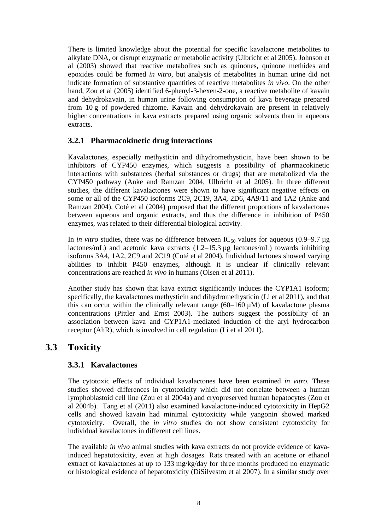There is limited knowledge about the potential for specific kavalactone metabolites to alkylate DNA, or disrupt enzymatic or metabolic activity [\(Ulbricht et al 2005\)](#page-44-2). [Johnson et](#page-42-14)  al (2003) showed that reactive metabolites such as quinones, quinone methides and epoxides could be formed *in vitro*, but analysis of metabolites in human urine did not indicate formation of substantive quantities of reactive metabolites *in vivo*. On the other hand, [Zou et al \(2005\)](#page-45-2) identified 6-phenyl-3-hexen-2-one, a reactive metabolite of kavain and dehydrokavain, in human urine following consumption of kava beverage prepared from 10 g of powdered rhizome. Kavain and dehydrokavain are present in relatively higher concentrations in kava extracts prepared using organic solvents than in aqueous extracts.

#### **3.2.1 Pharmacokinetic drug interactions**

Kavalactones, especially methysticin and dihydromethysticin, have been shown to be inhibitors of CYP450 enzymes, which suggests a possibility of pharmacokinetic interactions with substances (herbal substances or drugs) that are metabolized via the CYP450 pathway [\(Anke and Ramzan 2004,](#page-41-6) [Ulbricht et al 2005\)](#page-44-2). In three different studies, the different kavalactones were shown to have significant negative effects on some or all of the CYP450 isoforms 2C9, 2C19, 3A4, 2D6, 4A9/11 and 1A2 [\(Anke and](#page-41-6)  [Ramzan 2004\)](#page-41-6). [Coté et al \(2004\)](#page-42-5) proposed that the different proportions of kavalactones between aqueous and organic extracts, and thus the difference in inhibition of P450 enzymes, was related to their differential biological activity.

In *in vitro* studies, there was no difference between  $IC_{50}$  values for aqueous (0.9–9.7 µg lactones/mL) and acetonic kava extracts (1.2–15.3 µg lactones/mL) towards inhibiting isoforms 3A4, 1A2, 2C9 and 2C19 (Coté [et al 2004\)](#page-42-5). Individual lactones showed varying abilities to inhibit P450 enzymes, although it is unclear if clinically relevant concentrations are reached *in vivo* in humans [\(Olsen et al 2011\)](#page-43-5).

Another study has shown that kava extract significantly induces the CYP1A1 isoform; specifically, the kavalactones methysticin and dihydromethysticin [\(Li et al 2011\)](#page-42-15), and that this can occur within the clinically relevant range  $(60-160 \mu M)$  of kavalactone plasma concentrations [\(Pittler and Ernst 2003\)](#page-43-1). The authors suggest the possibility of an association between kava and CYP1A1-mediated induction of the aryl hydrocarbon receptor (AhR), which is involved in cell regulation [\(Li et al 2011\)](#page-42-15).

## **3.3 Toxicity**

## **3.3.1 Kavalactones**

The cytotoxic effects of individual kavalactones have been examined *in vitro.* These studies showed differences in cytotoxicity which did not correlate between a human lymphoblastoid cell line [\(Zou et al 2004a\)](#page-45-3) and cryopreserved human hepatocytes [\(Zou et](#page-45-4)  [al 2004b\)](#page-45-4). [Tang et al \(2011\)](#page-44-14) also examined kavalactone-induced cytotoxicity in HepG2 cells and showed kavain had minimal cytotoxicity while yangonin showed marked cytotoxicity. Overall, the *in vitro* studies do not show consistent cytotoxicity for individual kavalactones in different cell lines.

The available *in vivo* animal studies with kava extracts do not provide evidence of kavainduced hepatotoxicity, even at high dosages. Rats treated with an acetone or ethanol extract of kavalactones at up to 133 mg/kg/day for three months produced no enzymatic or histological evidence of hepatotoxicity [\(DiSilvestro et al 2007\)](#page-42-16). In a similar study over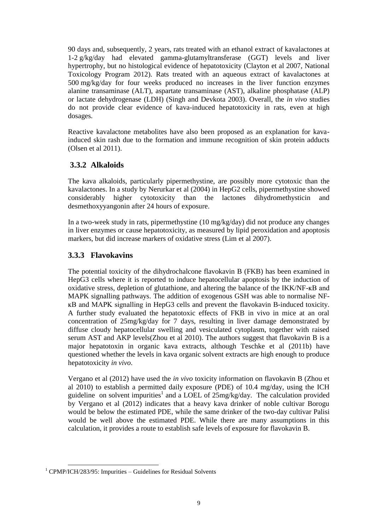90 days and, subsequently, 2 years, rats treated with an ethanol extract of kavalactones at 1-2 g/kg/day had elevated gamma-glutamyltransferase (GGT) levels and liver hypertrophy, but no histological evidence of hepatotoxicity [\(Clayton et al 2007,](#page-41-7) [National](#page-43-9)  [Toxicology Program 2012\)](#page-43-9). Rats treated with an aqueous extract of kavalactones at 500 mg/kg/day for four weeks produced no increases in the liver function enzymes alanine transaminase (ALT), aspartate transaminase (AST), alkaline phosphatase (ALP) or lactate dehydrogenase (LDH) [\(Singh and Devkota 2003\)](#page-44-15). Overall, the *in vivo* studies do not provide clear evidence of kava-induced hepatotoxicity in rats, even at high dosages.

Reactive kavalactone metabolites have also been proposed as an explanation for kavainduced skin rash due to the formation and immune recognition of skin protein adducts [\(Olsen et al 2011\)](#page-43-5).

#### **3.3.2 Alkaloids**

The kava alkaloids, particularly pipermethystine, are possibly more cytotoxic than the kavalactones. In a study by [Nerurkar et al \(2004\)](#page-43-7) in HepG2 cells, pipermethystine showed considerably higher cytotoxicity than the lactones dihydromethysticin and desmethoxyyangonin after 24 hours of exposure.

In a two-week study in rats, pipermethystine (10 mg/kg/day) did not produce any changes in liver enzymes or cause hepatotoxicity, as measured by lipid peroxidation and apoptosis markers, but did increase markers of oxidative stress [\(Lim et al 2007\)](#page-42-17).

#### **3.3.3 Flavokavins**

The potential toxicity of the dihydrochalcone flavokavin B (FKB) has been examined in HepG3 cells where it is reported to induce hepatocellular apoptosis by the induction of oxidative stress, depletion of glutathione, and altering the balance of the IKK/NF-ĸB and MAPK signalling pathways. The addition of exogenous GSH was able to normalise NFĸB and MAPK signalling in HepG3 cells and prevent the flavokavin B-induced toxicity. A further study evaluated the hepatotoxic effects of FKB in vivo in mice at an oral concentration of 25mg/kg/day for 7 days, resulting in liver damage demonstrated by diffuse cloudy hepatocellular swelling and vesiculated cytoplasm, together with raised serum AST and AKP levels[\(Zhou et al 2010\)](#page-45-1). The authors suggest that flavokavin B is a major hepatotoxin in organic kava extracts, although [Teschke et al \(2011b\)](#page-44-16) have questioned whether the levels in kava organic solvent extracts are high enough to produce hepatotoxicity *in vivo*.

[Vergano et al \(2012\)](#page-44-6) have used the *in vivo* toxicity information on flavokavin B (Zhou et al 2010) to establish a permitted daily exposure (PDE) of 10.4 mg/day, using the ICH guideline on solvent impurities<sup>1</sup> and a LOEL of 25mg/kg/day. The calculation provided by Vergano et al (2012) indicates that a heavy kava drinker of noble cultivar Borogu would be below the estimated PDE, while the same drinker of the two-day cultivar Palisi would be well above the estimated PDE. While there are many assumptions in this calculation, it provides a route to establish safe levels of exposure for flavokavin B.

-

 $1$  CPMP/ICH/283/95: Impurities – Guidelines for Residual Solvents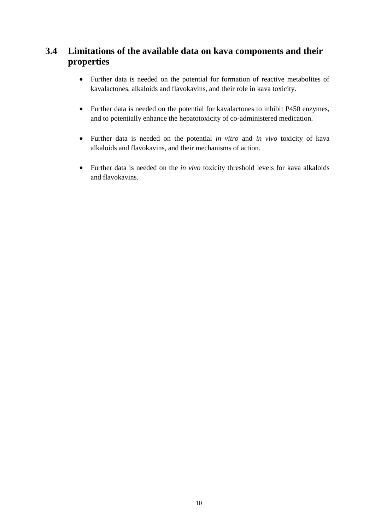## **3.4 Limitations of the available data on kava components and their properties**

- Further data is needed on the potential for formation of reactive metabolites of kavalactones, alkaloids and flavokavins, and their role in kava toxicity.
- Further data is needed on the potential for kavalactones to inhibit P450 enzymes, and to potentially enhance the hepatotoxicity of co-administered medication.
- Further data is needed on the potential *in vitro* and *in vivo* toxicity of kava alkaloids and flavokavins, and their mechanisms of action.
- Further data is needed on the *in vivo* toxicity threshold levels for kava alkaloids and flavokavins.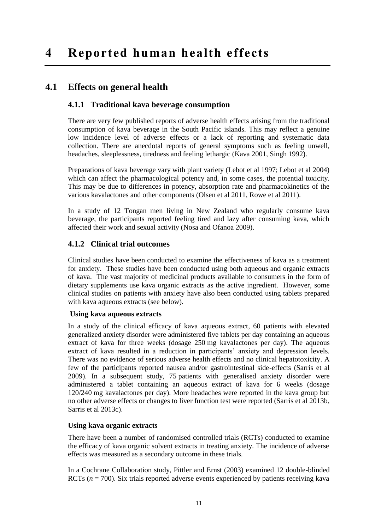## **4.1 Effects on general health**

#### **4.1.1 Traditional kava beverage consumption**

There are very few published reports of adverse health effects arising from the traditional consumption of kava beverage in the South Pacific islands. This may reflect a genuine low incidence level of adverse effects or a lack of reporting and systematic data collection. There are anecdotal reports of general symptoms such as feeling unwell, headaches, sleeplessness, tiredness and feeling lethargic [\(Kava 2001,](#page-42-18) [Singh 1992\)](#page-44-1).

Preparations of kava beverage vary with plant variety (Lebot et al 1997; Lebot et al 2004) which can affect the pharmacological potency and, in some cases, the potential toxicity. This may be due to differences in potency, absorption rate and pharmacokinetics of the various kavalactones and other components [\(Olsen et al 2011,](#page-43-5) [Rowe et al 2011\)](#page-43-8).

In a study of 12 Tongan men living in New Zealand who regularly consume kava beverage, the participants reported feeling tired and lazy after consuming kava, which affected their work and sexual activity [\(Nosa and Ofanoa 2009\)](#page-43-10).

#### **4.1.2 Clinical trial outcomes**

Clinical studies have been conducted to examine the effectiveness of kava as a treatment for anxiety. These studies have been conducted using both aqueous and organic extracts of kava. The vast majority of medicinal products available to consumers in the form of dietary supplements use kava organic extracts as the active ingredient. However, some clinical studies on patients with anxiety have also been conducted using tablets prepared with kava aqueous extracts (see below).

#### **Using kava aqueous extracts**

In a study of the clinical efficacy of kava aqueous extract, 60 patients with elevated generalized anxiety disorder were administered five tablets per day containing an aqueous extract of kava for three weeks (dosage 250 mg kavalactones per day). The aqueous extract of kava resulted in a reduction in participants' anxiety and depression levels. There was no evidence of serious adverse health effects and no clinical hepatotoxicity. A few of the participants reported nausea and/or gastrointestinal side-effects [\(Sarris et al](#page-43-11)  [2009\)](#page-43-11). In a subsequent study, 75 patients with generalised anxiety disorder were administered a tablet containing an aqueous extract of kava for 6 weeks (dosage 120/240 mg kavalactones per day). More headaches were reported in the kava group but no other adverse effects or changes to liver function test were reported (Sarris et al 2013b, Sarris et al 2013c).

#### **Using kava organic extracts**

There have been a number of randomised controlled trials (RCTs) conducted to examine the efficacy of kava organic solvent extracts in treating anxiety. The incidence of adverse effects was measured as a secondary outcome in these trials.

In a Cochrane Collaboration study, [Pittler and Ernst \(2003\)](#page-43-1) examined 12 double-blinded RCTs  $(n = 700)$ . Six trials reported adverse events experienced by patients receiving kava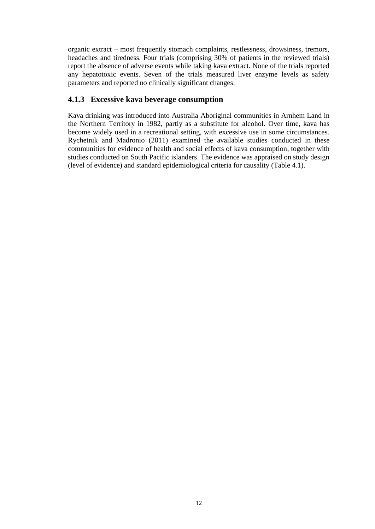organic extract – most frequently stomach complaints, restlessness, drowsiness, tremors, headaches and tiredness. Four trials (comprising 30% of patients in the reviewed trials) report the absence of adverse events while taking kava extract. None of the trials reported any hepatotoxic events. Seven of the trials measured liver enzyme levels as safety parameters and reported no clinically significant changes.

#### **4.1.3 Excessive kava beverage consumption**

Kava drinking was introduced into Australia Aboriginal communities in Arnhem Land in the Northern Territory in 1982, partly as a substitute for alcohol. Over time, kava has become widely used in a recreational setting, with excessive use in some circumstances. [Rychetnik and Madronio \(2011\)](#page-43-12) examined the available studies conducted in these communities for evidence of health and social effects of kava consumption, together with studies conducted on South Pacific islanders. The evidence was appraised on study design (level of evidence) and standard epidemiological criteria for causality (Table 4.1).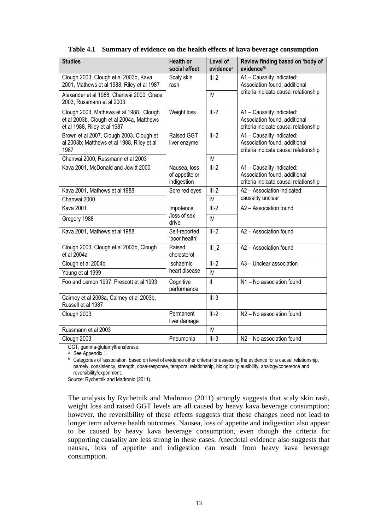<span id="page-24-0"></span>

| <b>Studies</b>                                                                                                       | <b>Health or</b><br>social effect             | Level of<br>evidence <sup>a</sup> | Review finding based on 'body of<br>evidence'b                                                      |  |
|----------------------------------------------------------------------------------------------------------------------|-----------------------------------------------|-----------------------------------|-----------------------------------------------------------------------------------------------------|--|
| Clough 2003, Clough et al 2003b, Kava<br>2001, Mathews et al 1988, Riley et al 1987                                  | Scaly skin<br>rash                            | $III-2$                           | A1 - Causality indicated:<br>Association found, additional                                          |  |
| Alexander et al 1988, Chanwai 2000, Grace<br>2003, Russmann et al 2003                                               |                                               | $\mathsf{IV}$                     | criteria indicate causal relationship                                                               |  |
| Clough 2003, Mathews et al 1988, Clough<br>et al 2003b, Clough et al 2004a, Matthews<br>et al 1988, Riley et al 1987 | Weight loss                                   | $III-2$                           | A1 - Causality indicated:<br>Association found, additional<br>criteria indicate causal relationship |  |
| Brown et al 2007, Clough 2003, Clough et<br>al 2003b; Matthews et al 1988, Riley et al<br>1987                       | Raised GGT<br>liver enzyme                    | $III-2$                           | A1 - Causality indicated:<br>Association found, additional<br>criteria indicate causal relationship |  |
| Chanwai 2000, Russmann et al 2003                                                                                    |                                               | $\overline{V}$                    |                                                                                                     |  |
| Kava 2001, McDonald and Jowitt 2000                                                                                  | Nausea, loss<br>of appetite or<br>indigestion | $III-2$                           | A1 - Causality indicated:<br>Association found, additional<br>criteria indicate causal relationship |  |
| Kava 2001, Mathews et al 1988                                                                                        | Sore red eyes                                 | $III-2$                           | A2 - Association indicated:                                                                         |  |
| Chanwai 2000                                                                                                         |                                               | IV                                | causality unclear                                                                                   |  |
| <b>Kava 2001</b>                                                                                                     | Impotence                                     | $III-2$                           | A2 - Association found                                                                              |  |
| Gregory 1988                                                                                                         | /loss of sex<br>drive                         | IV                                |                                                                                                     |  |
| Kava 2001, Mathews et al 1988                                                                                        | Self-reported<br>'poor health'                | $III-2$                           | A2 - Association found                                                                              |  |
| Clough 2003, Clough et al 2003b, Clough<br>et al 2004a                                                               | Raised<br>cholesterol                         | $III_2$                           | A2 - Association found                                                                              |  |
| Clough et al 2004b                                                                                                   | Ischaemic                                     | $III-2$                           | A3 - Unclear association                                                                            |  |
| Young et al 1999                                                                                                     | heart disease                                 | IV                                |                                                                                                     |  |
| Foo and Lemon 1997, Prescott et al 1993                                                                              | Cognitive<br>performance                      | $\mathbf{II}$                     | N1 - No association found                                                                           |  |
| Cairney et al 2003a, Cairney et al 2003b,<br>Russell et al 1987                                                      |                                               | $III-3$                           |                                                                                                     |  |
| Clough 2003                                                                                                          | Permanent<br>liver damage                     | $III-2$                           | N2 - No association found                                                                           |  |
| Russmann et al 2003                                                                                                  |                                               | IV                                |                                                                                                     |  |
| Clough 2003                                                                                                          | Pneumonia                                     | $III-3$                           | N <sub>2</sub> – No association found                                                               |  |

#### **Table 4.1 Summary of evidence on the health effects of kava beverage consumption**

GGT, gamma-glutamyltransferase.

<sup>a</sup> See Appendix 1.

<sup>b</sup> Categories of 'association' based on level of evidence other criteria for assessing the evidence for a causal relationship. namely, consistency, strength, dose-response, temporal relationship, biological plausibility, analogy/coherence and reversibility/experiment.

Source[: Rychetnik and Madronio \(2011\).](#page-43-12)

The analysis by [Rychetnik and Madronio \(2011\)](#page-43-12) strongly suggests that scaly skin rash, weight loss and raised GGT levels are all caused by heavy kava beverage consumption; however, the reversibility of these effects suggests that these changes need not lead to longer term adverse health outcomes. Nausea, loss of appetite and indigestion also appear to be caused by heavy kava beverage consumption, even though the criteria for supporting causality are less strong in these cases. Anecdotal evidence also suggests that nausea, loss of appetite and indigestion can result from heavy kava beverage consumption.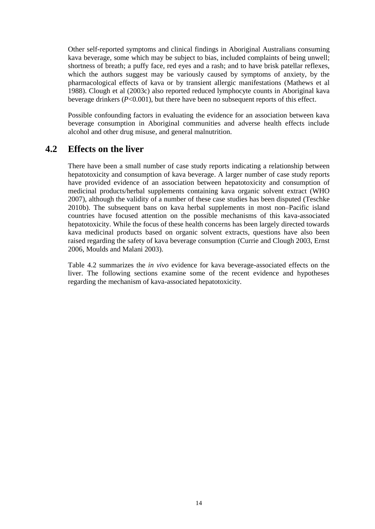Other self-reported symptoms and clinical findings in Aboriginal Australians consuming kava beverage, some which may be subject to bias, included complaints of being unwell; shortness of breath; a puffy face, red eyes and a rash; and to have brisk patellar reflexes, which the authors suggest may be variously caused by symptoms of anxiety, by the pharmacological effects of kava or by transient allergic manifestations [\(Mathews et al](#page-43-13)  [1988\)](#page-43-13). [Clough et al \(2003c\)](#page-41-15) also reported reduced lymphocyte counts in Aboriginal kava beverage drinkers (*P*<0.001), but there have been no subsequent reports of this effect.

Possible confounding factors in evaluating the evidence for an association between kava beverage consumption in Aboriginal communities and adverse health effects include alcohol and other drug misuse, and general malnutrition.

## **4.2 Effects on the liver**

There have been a small number of case study reports indicating a relationship between hepatotoxicity and consumption of kava beverage. A larger number of case study reports have provided evidence of an association between hepatotoxicity and consumption of medicinal products/herbal supplements containing kava organic solvent extract [\(WHO](#page-44-0)  [2007\)](#page-44-0), although the validity of a number of these case studies has been disputed [\(Teschke](#page-44-17)  [2010b\)](#page-44-17). The subsequent bans on kava herbal supplements in most non–Pacific island countries have focused attention on the possible mechanisms of this kava-associated hepatotoxicity. While the focus of these health concerns has been largely directed towards kava medicinal products based on organic solvent extracts, questions have also been raised regarding the safety of kava beverage consumption [\(Currie and Clough 2003,](#page-42-1) [Ernst](#page-42-22)  [2006,](#page-42-22) [Moulds and Malani 2003\)](#page-43-2).

Table 4.2 summarizes the *in vivo* evidence for kava beverage-associated effects on the liver. The following sections examine some of the recent evidence and hypotheses regarding the mechanism of kava-associated hepatotoxicity.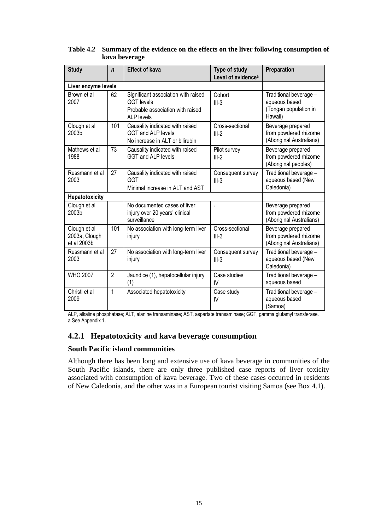| <b>Study</b>                                 | n              | <b>Effect of kava</b>                                                                                      | Type of study<br>Level of evidence <sup>a</sup> | Preparation                                                                 |
|----------------------------------------------|----------------|------------------------------------------------------------------------------------------------------------|-------------------------------------------------|-----------------------------------------------------------------------------|
| Liver enzyme levels                          |                |                                                                                                            |                                                 |                                                                             |
| Brown et al<br>2007                          | 62             | Significant association with raised<br><b>GGT</b> levels<br>Probable association with raised<br>ALP levels | Cohort<br>$III-3$                               | Traditional beverage -<br>aqueous based<br>(Tongan population in<br>Hawaii) |
| Clough et al<br>2003b                        | 101            | Causality indicated with raised<br><b>GGT and ALP levels</b><br>No increase in ALT or bilirubin            | Cross-sectional<br>$III-2$                      | Beverage prepared<br>from powdered rhizome<br>(Aboriginal Australians)      |
| Mathews et al<br>1988                        | 73             | Causality indicated with raised<br>GGT and ALP levels                                                      | Pilot survey<br>$III-2$                         | Beverage prepared<br>from powdered rhizome<br>(Aboriginal peoples)          |
| Russmann et al<br>2003                       | 27             | Causality indicated with raised<br><b>GGT</b><br>Minimal increase in ALT and AST                           | Consequent survey<br>$III-3$                    | Traditional beverage -<br>aqueous based (New<br>Caledonia)                  |
| Hepatotoxicity                               |                |                                                                                                            |                                                 |                                                                             |
| Clough et al<br>2003b                        |                | No documented cases of liver<br>injury over 20 years' clinical<br>surveillance                             |                                                 | Beverage prepared<br>from powdered rhizome<br>(Aboriginal Australians)      |
| Clough et al<br>2003a, Clough<br>et al 2003b | 101            | No association with long-term liver<br>injury                                                              | Cross-sectional<br>$III-3$                      | Beverage prepared<br>from powdered rhizome<br>(Aboriginal Australians)      |
| Russmann et al<br>2003                       | 27             | No association with long-term liver<br>injury                                                              | Consequent survey<br>$III-3$                    | Traditional beverage -<br>aqueous based (New<br>Caledonia)                  |
| <b>WHO 2007</b>                              | $\overline{2}$ | Jaundice (1), hepatocellular injury<br>(1)                                                                 | Case studies<br>IV                              | Traditional beverage -<br>aqueous based                                     |
| Christl et al<br>2009                        | 1              | Associated hepatotoxicity                                                                                  | Case study<br>IV                                | Traditional beverage -<br>aqueous based<br>(Samoa)                          |

<span id="page-26-0"></span>**Table 4.2 Summary of the evidence on the effects on the liver following consumption of kava beverage**

ALP, alkaline phosphatase; ALT, alanine transaminase; AST, aspartate transaminase; GGT, gamma glutamyl transferase. a See Appendix 1.

## **4.2.1 Hepatotoxicity and kava beverage consumption**

#### **South Pacific island communities**

Although there has been long and extensive use of kava beverage in communities of the South Pacific islands, there are only three published case reports of liver toxicity associated with consumption of kava beverage. Two of these cases occurred in residents of New Caledonia, and the other was in a European tourist visiting Samoa (see Box 4.1).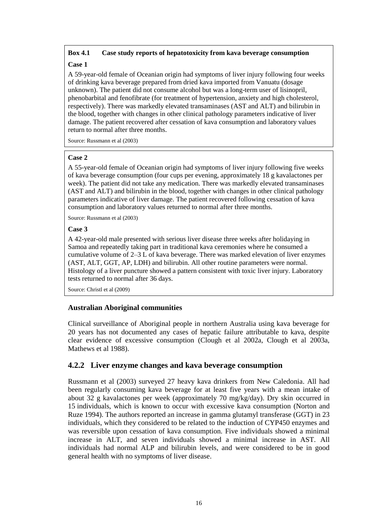#### **Box 4.1 Case study reports of hepatotoxicity from kava beverage consumption**

#### **Case 1**

A 59-year-old female of Oceanian origin had symptoms of liver injury following four weeks of drinking kava beverage prepared from dried kava imported from Vanuatu (dosage unknown). The patient did not consume alcohol but was a long-term user of lisinopril, phenobarbital and fenofibrate (for treatment of hypertension, anxiety and high cholesterol, respectively). There was markedly elevated transaminases (AST and ALT) and bilirubin in the blood, together with changes in other clinical pathology parameters indicative of liver damage. The patient recovered after cessation of kava consumption and laboratory values return to normal after three months.

Source[: Russmann et al \(2003\)](#page-43-15)

#### **Case 2**

A 55-year-old female of Oceanian origin had symptoms of liver injury following five weeks of kava beverage consumption (four cups per evening, approximately 18 g kavalactones per week). The patient did not take any medication. There was markedly elevated transaminases (AST and ALT) and bilirubin in the blood, together with changes in other clinical pathology parameters indicative of liver damage. The patient recovered following cessation of kava consumption and laboratory values returned to normal after three months.

Source[: Russmann et al \(2003\)](#page-43-15)

#### **Case 3**

A 42-year-old male presented with serious liver disease three weeks after holidaying in Samoa and repeatedly taking part in traditional kava ceremonies where he consumed a cumulative volume of 2–3 L of kava beverage. There was marked elevation of liver enzymes (AST, ALT, GGT, AP, LDH) and bilirubin. All other routine parameters were normal. Histology of a liver puncture showed a pattern consistent with toxic liver injury. Laboratory tests returned to normal after 36 days.

Source: [Christl et al \(2009\)](#page-41-17)

#### **Australian Aboriginal communities**

Clinical surveillance of Aboriginal people in northern Australia using kava beverage for 20 years has not documented any cases of hepatic failure attributable to kava, despite clear evidence of excessive consumption [\(Clough et al 2002a,](#page-41-18) [Clough et al 2003a,](#page-41-16) [Mathews et al 1988\)](#page-43-13).

#### **4.2.2 Liver enzyme changes and kava beverage consumption**

[Russmann et al \(2003\)](#page-43-15) surveyed 27 heavy kava drinkers from New Caledonia. All had been regularly consuming kava beverage for at least five years with a mean intake of about 32 g kavalactones per week (approximately 70 mg/kg/day). Dry skin occurred in 15 individuals, which is known to occur with excessive kava consumption [\(Norton and](#page-43-4)  [Ruze 1994\)](#page-43-4). The authors reported an increase in gamma glutamyl transferase (GGT) in 23 individuals, which they considered to be related to the induction of CYP450 enzymes and was reversible upon cessation of kava consumption. Five individuals showed a minimal increase in ALT, and seven individuals showed a minimal increase in AST. All individuals had normal ALP and bilirubin levels, and were considered to be in good general health with no symptoms of liver disease.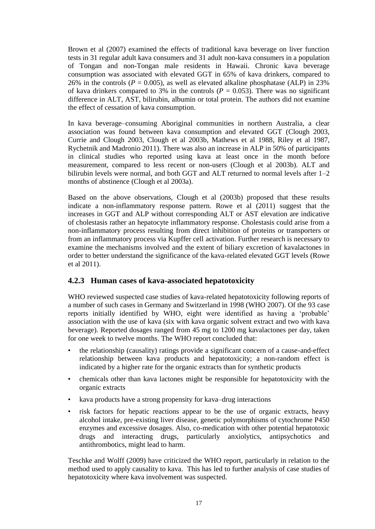[Brown et al \(2007\)](#page-41-0) examined the effects of traditional kava beverage on liver function tests in 31 regular adult kava consumers and 31 adult non-kava consumers in a population of Tongan and non-Tongan male residents in Hawaii. Chronic kava beverage consumption was associated with elevated GGT in 65% of kava drinkers, compared to 26% in the controls ( $P = 0.005$ ), as well as elevated alkaline phosphatase (ALP) in 23% of kava drinkers compared to 3% in the controls  $(P = 0.053)$ . There was no significant difference in ALT, AST, bilirubin, albumin or total protein. The authors did not examine the effect of cessation of kava consumption.

In kava beverage–consuming Aboriginal communities in northern Australia, a clear association was found between kava consumption and elevated GGT [\(Clough 2003,](#page-41-1) Currie and Clough 2003, Clough [et al 2003b,](#page-41-10) [Mathews et al 1988,](#page-43-13) [Riley et al 1987,](#page-43-14) [Rychetnik and Madronio 2011\)](#page-43-12). There was also an increase in ALP in 50% of participants in clinical studies who reported using kava at least once in the month before measurement, compared to less recent or non-users [\(Clough et al 2003b\)](#page-41-10). ALT and bilirubin levels were normal, and both GGT and ALT returned to normal levels after 1–2 months of abstinence [\(Clough et al 2003a\)](#page-41-16).

Based on the above observations, [Clough et al \(2003b\)](#page-41-10) proposed that these results indicate a non-inflammatory response pattern. [Rowe et al \(2011\)](#page-43-8) suggest that the increases in GGT and ALP without corresponding ALT or AST elevation are indicative of cholestasis rather an hepatocyte inflammatory response. Cholestasis could arise from a non-inflammatory process resulting from direct inhibition of proteins or transporters or from an inflammatory process via Kupffer cell activation. Further research is necessary to examine the mechanisms involved and the extent of biliary excretion of kavalactones in order to better understand the significance of the kava-related elevated GGT levels (Rowe et al 2011).

#### **4.2.3 Human cases of kava-associated hepatotoxicity**

WHO reviewed suspected case studies of kava-related hepatotoxicity following reports of a number of such cases in Germany and Switzerland in 1998 [\(WHO 2007\)](#page-44-0). Of the 93 case reports initially identified by WHO, eight were identified as having a 'probable' association with the use of kava (six with kava organic solvent extract and two with kava beverage). Reported dosages ranged from 45 mg to 1200 mg kavalactones per day, taken for one week to twelve months. The WHO report concluded that:

- the relationship (causality) ratings provide a significant concern of a cause-and-effect relationship between kava products and hepatotoxicity; a non-random effect is indicated by a higher rate for the organic extracts than for synthetic products
- chemicals other than kava lactones might be responsible for hepatotoxicity with the organic extracts
- kava products have a strong propensity for kava–drug interactions
- risk factors for hepatic reactions appear to be the use of organic extracts, heavy alcohol intake, pre-existing liver disease, genetic polymorphisms of cytochrome P450 enzymes and excessive dosages. Also, co-medication with other potential hepatotoxic drugs and interacting drugs, particularly anxiolytics, antipsychotics and antithrombotics, might lead to harm.

[Teschke and Wolff \(2009\)](#page-44-18) have criticized the WHO report, particularly in relation to the method used to apply causality to kava. This has led to further analysis of case studies of hepatotoxicity where kava involvement was suspected.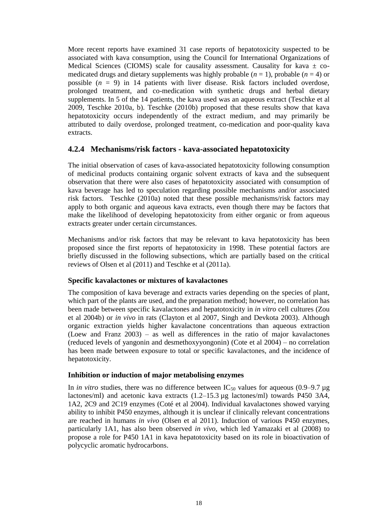More recent reports have examined 31 case reports of hepatotoxicity suspected to be associated with kava consumption, using the Council for International Organizations of Medical Sciences (CIOMS) scale for causality assessment. Causality for kava  $\pm$  comedicated drugs and dietary supplements was highly probable  $(n = 1)$ , probable  $(n = 4)$  or possible (*n* = 9) in 14 patients with liver disease. Risk factors included overdose, prolonged treatment, and co-medication with synthetic drugs and herbal dietary supplements. In 5 of the 14 patients, the kava used was an aqueous extract [\(Teschke et al](#page-44-19)  [2009,](#page-44-19) [Teschke 2010a,](#page-44-20) [b\)](#page-44-17). Teschke (2010b) proposed that these results show that kava hepatotoxicity occurs independently of the extract medium, and may primarily be attributed to daily overdose, prolonged treatment, co-medication and poor-quality kava extracts.

#### **4.2.4 Mechanisms/risk factors - kava-associated hepatotoxicity**

The initial observation of cases of kava-associated hepatotoxicity following consumption of medicinal products containing organic solvent extracts of kava and the subsequent observation that there were also cases of hepatotoxicity associated with consumption of kava beverage has led to speculation regarding possible mechanisms and/or associated risk factors. Teschke (2010a) noted that these possible mechanisms/risk factors may apply to both organic and aqueous kava extracts, even though there may be factors that make the likelihood of developing hepatotoxicity from either organic or from aqueous extracts greater under certain circumstances.

Mechanisms and/or risk factors that may be relevant to kava hepatotoxicity has been proposed since the first reports of hepatotoxicity in 1998. These potential factors are briefly discussed in the following subsections, which are partially based on the critical reviews of [Olsen et al \(2011\)](#page-43-5) and [Teschke et al \(2011a\).](#page-44-11)

#### **Specific kavalactones or mixtures of kavalactones**

The composition of kava beverage and extracts varies depending on the species of plant, which part of the plants are used, and the preparation method; however, no correlation has been made between specific kavalactones and hepatotoxicity in *in vitro* cell cultures [\(Zou](#page-45-4)  [et al 2004b\)](#page-45-4) or *in vivo* in rats [\(Clayton et al 2007,](#page-41-7) [Singh and Devkota 2003\)](#page-44-15). Although organic extraction yields higher kavalactone concentrations than aqueous extraction [\(Loew and Franz 2003\)](#page-42-0) – as well as differences in the ratio of major kavalactones (reduced levels of yangonin and desmethoxyyongonin) [\(Cote et al 2004\)](#page-42-5) – no correlation has been made between exposure to total or specific kavalactones, and the incidence of hepatotoxicity.

#### **Inhibition or induction of major metabolising enzymes**

In *in vitro* studies, there was no difference between  $IC_{50}$  values for aqueous (0.9–9.7 µg lactones/ml) and acetonic kava extracts (1.2–15.3 µg lactones/ml) towards P450 3A4, 1A2, 2C9 and 2C19 enzymes (Coté [et al 2004\)](#page-42-5). Individual kavalactones showed varying ability to inhibit P450 enzymes, although it is unclear if clinically relevant concentrations are reached in humans *in vivo* [\(Olsen et al 2011\)](#page-43-5). Induction of various P450 enzymes, particularly 1A1, has also been observed *in vivo*, which led [Yamazaki et al \(2008\)](#page-45-6) to propose a role for P450 1A1 in kava hepatotoxicity based on its role in bioactivation of polycyclic aromatic hydrocarbons.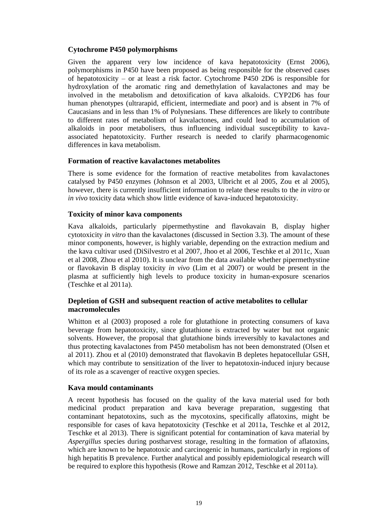#### **Cytochrome P450 polymorphisms**

Given the apparent very low incidence of kava hepatotoxicity [\(Ernst 2006\)](#page-42-22), polymorphisms in P450 have been proposed as being responsible for the observed cases of hepatotoxicity – or at least a risk factor. Cytochrome P450 2D6 is responsible for hydroxylation of the aromatic ring and demethylation of kavalactones and may be involved in the metabolism and detoxification of kava alkaloids. CYP2D6 has four human phenotypes (ultrarapid, efficient, intermediate and poor) and is absent in 7% of Caucasians and in less than 1% of Polynesians. These differences are likely to contribute to different rates of metabolism of kavalactones, and could lead to accumulation of alkaloids in poor metabolisers, thus influencing individual susceptibility to kavaassociated hepatotoxicity. Further research is needed to clarify pharmacogenomic differences in kava metabolism.

#### **Formation of reactive kavalactones metabolites**

There is some evidence for the formation of reactive metabolites from kavalactones catalysed by P450 enzymes [\(Johnson et al 2003,](#page-42-14) [Ulbricht et al 2005,](#page-44-2) [Zou et al 2005\)](#page-45-2), however, there is currently insufficient information to relate these results to the *in vitro* or *in vivo* toxicity data which show little evidence of kava-induced hepatotoxicity.

#### **Toxicity of minor kava components**

Kava alkaloids, particularly pipermethystine and flavokavain B, display higher cytotoxicity *in vitro* than the kavalactones (discussed in Section 3.3). The amount of these minor components, however, is highly variable, depending on the extraction medium and the kava cultivar used [\(DiSilvestro et al 2007,](#page-42-16) [Jhoo et al 2006,](#page-42-23) [Teschke et al 2011c,](#page-44-8) [Xuan](#page-45-0)  [et al 2008,](#page-45-0) [Zhou et al 2010\)](#page-45-1). It is unclear from the data available whether pipermethystine or flavokavin B display toxicity *in vivo* [\(Lim et al 2007\)](#page-42-17) or would be present in the plasma at sufficiently high levels to produce toxicity in human-exposure scenarios [\(Teschke et al 2011a\)](#page-44-11).

#### **Depletion of GSH and subsequent reaction of active metabolites to cellular macromolecules**

[Whitton et al \(2003\)](#page-44-12) proposed a role for glutathione in protecting consumers of kava beverage from hepatotoxicity, since glutathione is extracted by water but not organic solvents. However, the proposal that glutathione binds irreversibly to kavalactones and thus protecting kavalactones from P450 metabolism has not been demonstrated [\(Olsen et](#page-43-5)  [al 2011\)](#page-43-5). [Zhou et al \(2010\)](#page-45-1) demonstrated that flavokavin B depletes hepatocellular GSH, which may contribute to sensitization of the liver to hepatotoxin-induced injury because of its role as a scavenger of reactive oxygen species.

#### **Kava mould contaminants**

A recent hypothesis has focused on the quality of the kava material used for both medicinal product preparation and kava beverage preparation, suggesting that contaminant hepatotoxins, such as the mycotoxins, specifically aflatoxins, might be responsible for cases of kava hepatotoxicity [\(Teschke et al 2011a,](#page-44-11) [Teschke et al 2012,](#page-44-21) [Teschke et al 2013\)](#page-44-22). There is significant potential for contamination of kava material by *Aspergillus* species during postharvest storage, resulting in the formation of aflatoxins, which are known to be hepatotoxic and carcinogenic in humans, particularly in regions of high hepatitis B prevalence. Further analytical and possibly epidemiological research will be required to explore this hypothesis [\(Rowe and Ramzan 2012,](#page-43-19) [Teschke et al 2011a\)](#page-44-11).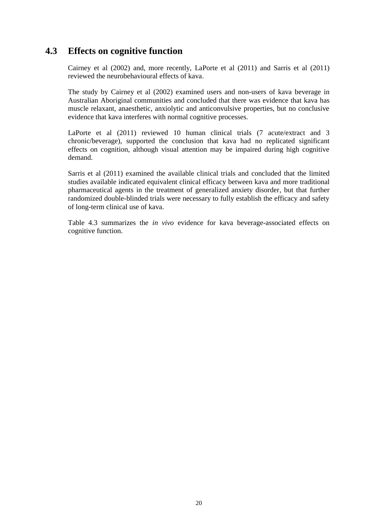## **4.3 Effects on cognitive function**

[Cairney et al \(2002\)](#page-41-5) and, more recently, [LaPorte et al \(2011\)](#page-42-24) and [Sarris et al \(2011\)](#page-43-6) reviewed the neurobehavioural effects of kava.

The study by [Cairney et al \(2002\)](#page-41-5) examined users and non-users of kava beverage in Australian Aboriginal communities and concluded that there was evidence that kava has muscle relaxant, anaesthetic, anxiolytic and anticonvulsive properties, but no conclusive evidence that kava interferes with normal cognitive processes.

[LaPorte et al \(2011\)](#page-42-24) reviewed 10 human clinical trials (7 acute/extract and 3 chronic/beverage), supported the conclusion that kava had no replicated significant effects on cognition, although visual attention may be impaired during high cognitive demand.

[Sarris et al \(2011\)](#page-43-6) examined the available clinical trials and concluded that the limited studies available indicated equivalent clinical efficacy between kava and more traditional pharmaceutical agents in the treatment of generalized anxiety disorder, but that further randomized double-blinded trials were necessary to fully establish the efficacy and safety of long-term clinical use of kava.

Table 4.3 summarizes the *in vivo* evidence for kava beverage-associated effects on cognitive function.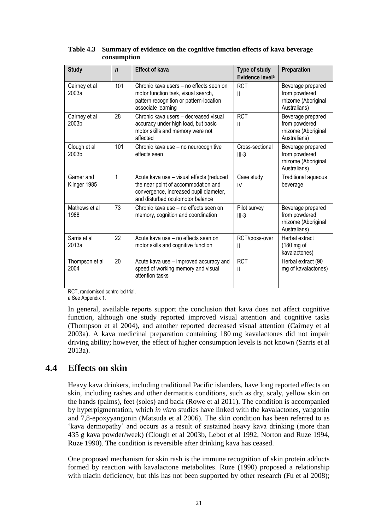| <b>Study</b>                      | $\mathbf n$ | <b>Effect of kava</b>                                                                                                                                         | Type of study<br>Evidence level <sup>a</sup> | Preparation                                                               |
|-----------------------------------|-------------|---------------------------------------------------------------------------------------------------------------------------------------------------------------|----------------------------------------------|---------------------------------------------------------------------------|
| Cairney et al<br>2003a            | 101         | Chronic kava users – no effects seen on<br>motor function task, visual search,<br>pattern recognition or pattern-location<br>associate learning               | <b>RCT</b><br>$\mathbf{I}$                   | Beverage prepared<br>from powdered<br>rhizome (Aboriginal<br>Australians) |
| Cairney et al<br>2003b            | 28          | Chronic kava users - decreased visual<br>accuracy under high load, but basic<br>motor skills and memory were not<br>affected                                  | <b>RCT</b><br>Ш                              | Beverage prepared<br>from powdered<br>rhizome (Aboriginal<br>Australians) |
| Clough et al<br>2003 <sub>b</sub> | 101         | Chronic kava use - no neurocognitive<br>effects seen                                                                                                          | Cross-sectional<br>$III-3$                   | Beverage prepared<br>from powdered<br>rhizome (Aboriginal<br>Australians) |
| Garner and<br>Klinger 1985        | 1           | Acute kava use - visual effects (reduced<br>the near point of accommodation and<br>convergence, increased pupil diameter,<br>and disturbed oculomotor balance | Case study<br>IV                             | Traditional aqueous<br>beverage                                           |
| Mathews et al<br>1988             | 73          | Chronic kava use - no effects seen on<br>memory, cognition and coordination                                                                                   | Pilot survey<br>$III-3$                      | Beverage prepared<br>from powdered<br>rhizome (Aboriginal<br>Australians) |
| Sarris et al<br>2013a             | 22          | Acute kava use - no effects seen on<br>motor skills and cognitive function                                                                                    | RCT/cross-over<br>Ш                          | Herbal extract<br>$(180 \text{ mg of})$<br>kavalactones)                  |
| Thompson et al<br>2004            | 20          | Acute kava use – improved accuracy and<br>speed of working memory and visual<br>attention tasks                                                               | <b>RCT</b><br>$\mathbf{I}$                   | Herbal extract (90<br>mg of kavalactones)                                 |

<span id="page-32-0"></span>

| Table 4.3 Summary of evidence on the cognitive function effects of kava beverage |
|----------------------------------------------------------------------------------|
| consumption                                                                      |

RCT, randomised controlled trial.

a See Appendix 1.

In general, available reports support the conclusion that kava does not affect cognitive function, although one study reported improved visual attention and cognitive tasks [\(Thompson et al 2004\)](#page-44-23), and another reported decreased visual attention [\(Cairney et al](#page-41-13)  [2003a\)](#page-41-13). A kava medicinal preparation containing 180 mg kavalactones did not impair driving ability; however, the effect of higher consumption levels is not known [\(Sarris et al](#page-43-20)  [2013a\)](#page-43-20).

## **4.4 Effects on skin**

Heavy kava drinkers, including traditional Pacific islanders, have long reported effects on skin, including rashes and other dermatitis conditions, such as dry, scaly, yellow skin on the hands (palms), feet (soles) and back [\(Rowe et al 2011\)](#page-43-8). The condition is accompanied by hyperpigmentation, which *in vitro* studies have linked with the kavalactones, yangonin and 7,8-epoxyyangonin [\(Matsuda et al 2006\)](#page-43-21). The skin condition has been referred to as 'kava dermopathy' and occurs as a result of sustained heavy kava drinking (more than 435 g kava powder/week) (Clough et al 2003b, Lebot et al 1992, Norton and Ruze 1994, Ruze 1990). The condition is reversible after drinking kava has ceased.

One proposed mechanism for skin rash is the immune recognition of skin protein adducts formed by reaction with kavalactone metabolites. Ruze (1990) proposed a relationship with niacin deficiency, but this has not been supported by other research [\(Fu et al 2008\)](#page-42-7);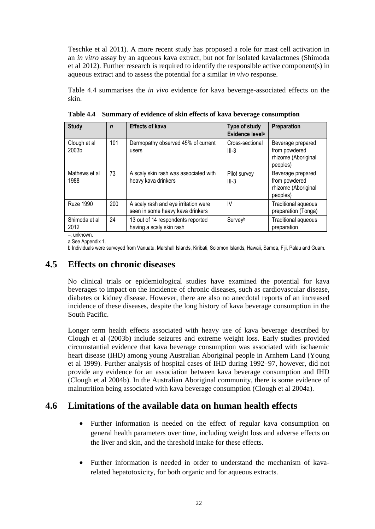Teschke et al 2011). A more recent study has proposed a role for mast cell activation in an *in vitro* assay by an aqueous kava extract, but not for isolated kavalactones [\(Shimoda](#page-44-10)  [et al 2012\)](#page-44-10). Further research is required to identify the responsible active component(s) in aqueous extract and to assess the potential for a similar *in vivo* response.

Table 4.4 summarises the *in vivo* evidence for kava beverage-associated effects on the skin.

| <b>Study</b>          | $\mathbf n$ | <b>Effects of kava</b>                                                   | Type of study<br>Evidence level <sup>a</sup> | <b>Preparation</b>                                                    |
|-----------------------|-------------|--------------------------------------------------------------------------|----------------------------------------------|-----------------------------------------------------------------------|
| Clough et al<br>2003b | 101         | Dermopathy observed 45% of current<br>users                              | Cross-sectional<br>$III-3$                   | Beverage prepared<br>from powdered<br>rhizome (Aboriginal<br>peoples) |
| Mathews et al<br>1988 | 73          | A scaly skin rash was associated with<br>heavy kava drinkers             | Pilot survey<br>$III-3$                      | Beverage prepared<br>from powdered<br>rhizome (Aboriginal<br>peoples) |
| <b>Ruze 1990</b>      | 200         | A scaly rash and eye irritation were<br>seen in some heavy kava drinkers | IV                                           | Traditional aqueous<br>preparation (Tonga)                            |
| Shimoda et al<br>2012 | 24          | 13 out of 14 respondents reported<br>having a scaly skin rash            | Surveyb                                      | Traditional aqueous<br>preparation                                    |

<span id="page-33-0"></span>**Table 4.4 Summary of evidence of skin effects of kava beverage consumption**

–, unknown.

a See Appendix 1.

b Individuals were surveyed from Vanuatu, Marshall Islands, Kiribati, Solomon Islands, Hawaii, Samoa, Fiji, Palau and Guam.

## **4.5 Effects on chronic diseases**

No clinical trials or epidemiological studies have examined the potential for kava beverages to impact on the incidence of chronic diseases, such as cardiovascular disease, diabetes or kidney disease. However, there are also no anecdotal reports of an increased incidence of these diseases, despite the long history of kava beverage consumption in the South Pacific.

Longer term health effects associated with heavy use of kava beverage described by [Clough et al \(2003b\)](#page-41-10) include seizures and extreme weight loss. Early studies provided circumstantial evidence that kava beverage consumption was associated with ischaemic heart disease (IHD) among young Australian Aboriginal people in Arnhem Land [\(Young](#page-45-5)  [et al 1999\)](#page-45-5). Further analysis of hospital cases of IHD during 1992–97, however, did not provide any evidence for an association between kava beverage consumption and IHD [\(Clough et al 2004b\)](#page-41-12). In the Australian Aboriginal community, there is some evidence of malnutrition being associated with kava beverage consumption [\(Clough et al 2004a\)](#page-41-11).

## **4.6 Limitations of the available data on human health effects**

- Further information is needed on the effect of regular kava consumption on general health parameters over time, including weight loss and adverse effects on the liver and skin, and the threshold intake for these effects.
- Further information is needed in order to understand the mechanism of kavarelated hepatotoxicity, for both organic and for aqueous extracts.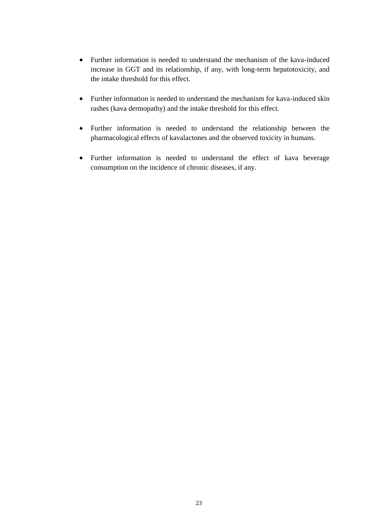- Further information is needed to understand the mechanism of the kava-induced increase in GGT and its relationship, if any, with long-term hepatotoxicity, and the intake threshold for this effect.
- Further information is needed to understand the mechanism for kava-induced skin rashes (kava dermopathy) and the intake threshold for this effect.
- Further information is needed to understand the relationship between the pharmacological effects of kavalactones and the observed toxicity in humans.
- Further information is needed to understand the effect of kava beverage consumption on the incidence of chronic diseases, if any.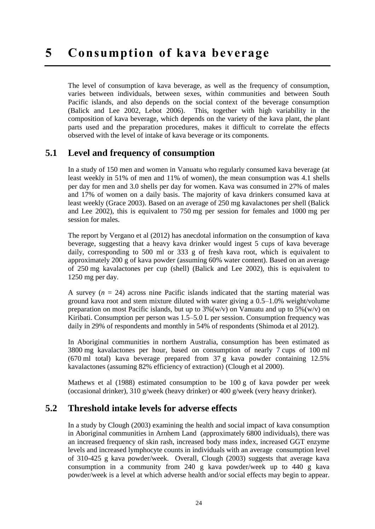The level of consumption of kava beverage, as well as the frequency of consumption, varies between individuals, between sexes, within communities and between South Pacific islands, and also depends on the social context of the beverage consumption [\(Balick and Lee 2002,](#page-41-19) [Lebot 2006\)](#page-42-4). This, together with high variability in the composition of kava beverage, which depends on the variety of the kava plant, the plant parts used and the preparation procedures, makes it difficult to correlate the effects observed with the level of intake of kava beverage or its components.

## **5.1 Level and frequency of consumption**

In a study of 150 men and women in Vanuatu who regularly consumed kava beverage (at least weekly in 51% of men and 11% of women), the mean consumption was 4.1 shells per day for men and 3.0 shells per day for women. Kava was consumed in 27% of males and 17% of women on a daily basis. The majority of kava drinkers consumed kava at least weekly [\(Grace 2003\)](#page-42-19). Based on an average of 250 mg kavalactones per shell (Balick and Lee 2002), this is equivalent to 750 mg per session for females and 1000 mg per session for males.

The report by [Vergano et al \(2012\)](#page-44-6) has anecdotal information on the consumption of kava beverage, suggesting that a heavy kava drinker would ingest 5 cups of kava beverage daily, corresponding to 500 ml or 333 g of fresh kava root, which is equivalent to approximately 200 g of kava powder (assuming 60% water content). Based on an average of 250 mg kavalactones per cup (shell) (Balick and Lee 2002), this is equivalent to 1250 mg per day.

A survey  $(n = 24)$  across nine Pacific islands indicated that the starting material was ground kava root and stem mixture diluted with water giving a 0.5–1.0% weight/volume preparation on most Pacific islands, but up to  $3\%$  (w/v) on Vanuatu and up to  $5\%$  (w/v) on Kiribati. Consumption per person was 1.5–5.0 L per session. Consumption frequency was daily in 29% of respondents and monthly in 54% of respondents [\(Shimoda et al 2012\)](#page-44-10).

In Aboriginal communities in northern Australia, consumption has been estimated as 3800 mg kavalactones per hour, based on consumption of nearly 7 cups of 100 ml (670 ml total) kava beverage prepared from 37 g kava powder containing 12.5% kavalactones (assuming 82% efficiency of extraction) (Clough et al 2000).

[Mathews et al \(1988\)](#page-43-13) estimated consumption to be 100 g of kava powder per week (occasional drinker), 310 g/week (heavy drinker) or 400 g/week (very heavy drinker).

## **5.2 Threshold intake levels for adverse effects**

In a study by [Clough](#page-41-20) (2003) examining the health and social impact of kava consumption in Aboriginal communities in Arnhem Land (approximately 6800 individuals), there was an increased frequency of skin rash, increased body mass index, increased GGT enzyme levels and increased lymphocyte counts in individuals with an average consumption level of 310-425 g kava powder/week. Overall, Clough (2003) suggests that average kava consumption in a community from 240 g kava powder/week up to 440 g kava powder/week is a level at which adverse health and/or social effects may begin to appear.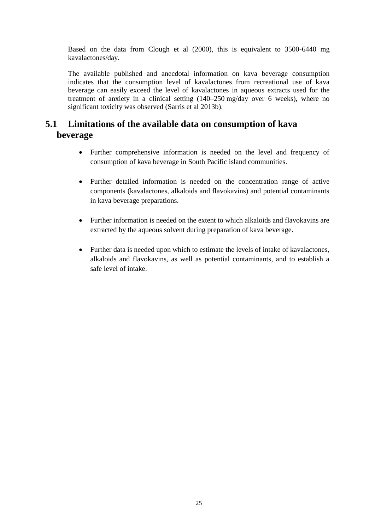Based on the data from Clough et al (2000), this is equivalent to 3500-6440 mg kavalactones/day.

The available published and anecdotal information on kava beverage consumption indicates that the consumption level of kavalactones from recreational use of kava beverage can easily exceed the level of kavalactones in aqueous extracts used for the treatment of anxiety in a clinical setting (140–250 mg/day over 6 weeks), where no significant toxicity was observed (Sarris et al 2013b).

## **5.1 Limitations of the available data on consumption of kava beverage**

- Further comprehensive information is needed on the level and frequency of consumption of kava beverage in South Pacific island communities.
- Further detailed information is needed on the concentration range of active components (kavalactones, alkaloids and flavokavins) and potential contaminants in kava beverage preparations.
- Further information is needed on the extent to which alkaloids and flavokavins are extracted by the aqueous solvent during preparation of kava beverage.
- Further data is needed upon which to estimate the levels of intake of kavalactones, alkaloids and flavokavins, as well as potential contaminants, and to establish a safe level of intake.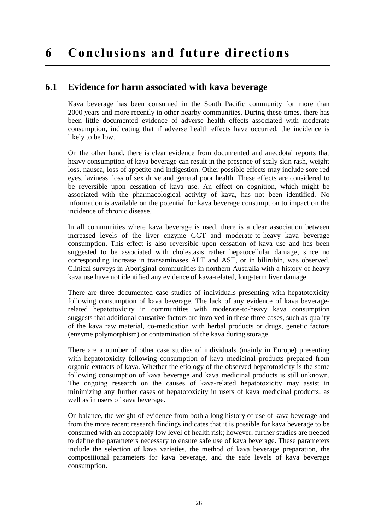## **6.1 Evidence for harm associated with kava beverage**

Kava beverage has been consumed in the South Pacific community for more than 2000 years and more recently in other nearby communities. During these times, there has been little documented evidence of adverse health effects associated with moderate consumption, indicating that if adverse health effects have occurred, the incidence is likely to be low.

On the other hand, there is clear evidence from documented and anecdotal reports that heavy consumption of kava beverage can result in the presence of scaly skin rash, weight loss, nausea, loss of appetite and indigestion. Other possible effects may include sore red eyes, laziness, loss of sex drive and general poor health. These effects are considered to be reversible upon cessation of kava use. An effect on cognition, which might be associated with the pharmacological activity of kava, has not been identified. No information is available on the potential for kava beverage consumption to impact on the incidence of chronic disease.

In all communities where kava beverage is used, there is a clear association between increased levels of the liver enzyme GGT and moderate-to-heavy kava beverage consumption. This effect is also reversible upon cessation of kava use and has been suggested to be associated with cholestasis rather hepatocellular damage, since no corresponding increase in transaminases ALT and AST, or in bilirubin, was observed. Clinical surveys in Aboriginal communities in northern Australia with a history of heavy kava use have not identified any evidence of kava-related, long-term liver damage.

There are three documented case studies of individuals presenting with hepatotoxicity following consumption of kava beverage. The lack of any evidence of kava beveragerelated hepatotoxicity in communities with moderate-to-heavy kava consumption suggests that additional causative factors are involved in these three cases, such as quality of the kava raw material, co-medication with herbal products or drugs, genetic factors (enzyme polymorphism) or contamination of the kava during storage.

There are a number of other case studies of individuals (mainly in Europe) presenting with hepatotoxicity following consumption of kava medicinal products prepared from organic extracts of kava. Whether the etiology of the observed hepatotoxicity is the same following consumption of kava beverage and kava medicinal products is still unknown. The ongoing research on the causes of kava-related hepatotoxicity may assist in minimizing any further cases of hepatotoxicity in users of kava medicinal products, as well as in users of kava beverage.

On balance, the weight-of-evidence from both a long history of use of kava beverage and from the more recent research findings indicates that it is possible for kava beverage to be consumed with an acceptably low level of health risk; however, further studies are needed to define the parameters necessary to ensure safe use of kava beverage. These parameters include the selection of kava varieties, the method of kava beverage preparation, the compositional parameters for kava beverage, and the safe levels of kava beverage consumption.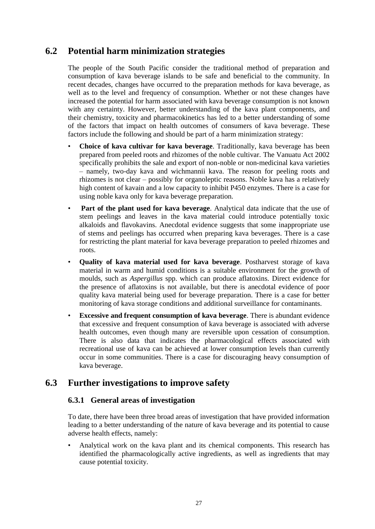## **6.2 Potential harm minimization strategies**

The people of the South Pacific consider the traditional method of preparation and consumption of kava beverage islands to be safe and beneficial to the community. In recent decades, changes have occurred to the preparation methods for kava beverage, as well as to the level and frequency of consumption. Whether or not these changes have increased the potential for harm associated with kava beverage consumption is not known with any certainty. However, better understanding of the kava plant components, and their chemistry, toxicity and pharmacokinetics has led to a better understanding of some of the factors that impact on health outcomes of consumers of kava beverage. These factors include the following and should be part of a harm minimization strategy:

- **Choice of kava cultivar for kava beverage**. Traditionally, kava beverage has been prepared from peeled roots and rhizomes of the noble cultivar. The Vanuatu Act 2002 specifically prohibits the sale and export of non-noble or non-medicinal kava varieties – namely, two-day kava and wichmannii kava. The reason for peeling roots and rhizomes is not clear – possibly for organoleptic reasons. Noble kava has a relatively high content of kavain and a low capacity to inhibit P450 enzymes. There is a case for using noble kava only for kava beverage preparation.
- **Part of the plant used for kava beverage**. Analytical data indicate that the use of stem peelings and leaves in the kava material could introduce potentially toxic alkaloids and flavokavins. Anecdotal evidence suggests that some inappropriate use of stems and peelings has occurred when preparing kava beverages. There is a case for restricting the plant material for kava beverage preparation to peeled rhizomes and roots.
- **Quality of kava material used for kava beverage**. Postharvest storage of kava material in warm and humid conditions is a suitable environment for the growth of moulds, such as *Aspergillus* spp. which can produce aflatoxins. Direct evidence for the presence of aflatoxins is not available, but there is anecdotal evidence of poor quality kava material being used for beverage preparation. There is a case for better monitoring of kava storage conditions and additional surveillance for contaminants.
- **Excessive and frequent consumption of kava beverage**. There is abundant evidence that excessive and frequent consumption of kava beverage is associated with adverse health outcomes, even though many are reversible upon cessation of consumption. There is also data that indicates the pharmacological effects associated with recreational use of kava can be achieved at lower consumption levels than currently occur in some communities. There is a case for discouraging heavy consumption of kava beverage.

## **6.3 Further investigations to improve safety**

#### **6.3.1 General areas of investigation**

To date, there have been three broad areas of investigation that have provided information leading to a better understanding of the nature of kava beverage and its potential to cause adverse health effects, namely:

• Analytical work on the kava plant and its chemical components. This research has identified the pharmacologically active ingredients, as well as ingredients that may cause potential toxicity.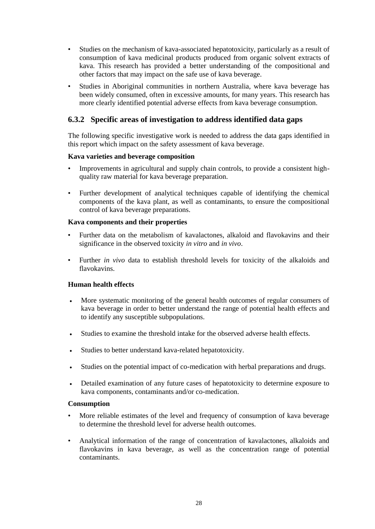- Studies on the mechanism of kava-associated hepatotoxicity, particularly as a result of consumption of kava medicinal products produced from organic solvent extracts of kava. This research has provided a better understanding of the compositional and other factors that may impact on the safe use of kava beverage.
- Studies in Aboriginal communities in northern Australia, where kava beverage has been widely consumed, often in excessive amounts, for many years. This research has more clearly identified potential adverse effects from kava beverage consumption.

#### **6.3.2 Specific areas of investigation to address identified data gaps**

The following specific investigative work is needed to address the data gaps identified in this report which impact on the safety assessment of kava beverage.

#### **Kava varieties and beverage composition**

- Improvements in agricultural and supply chain controls, to provide a consistent highquality raw material for kava beverage preparation.
- Further development of analytical techniques capable of identifying the chemical components of the kava plant, as well as contaminants, to ensure the compositional control of kava beverage preparations.

#### **Kava components and their properties**

- Further data on the metabolism of kavalactones, alkaloid and flavokavins and their significance in the observed toxicity *in vitro* and *in vivo*.
- Further *in vivo* data to establish threshold levels for toxicity of the alkaloids and flavokavins.

#### **Human health effects**

- More systematic monitoring of the general health outcomes of regular consumers of kava beverage in order to better understand the range of potential health effects and to identify any susceptible subpopulations.
- Studies to examine the threshold intake for the observed adverse health effects.
- Studies to better understand kava-related hepatotoxicity.
- Studies on the potential impact of co-medication with herbal preparations and drugs.
- Detailed examination of any future cases of hepatotoxicity to determine exposure to kava components, contaminants and/or co-medication.

#### **Consumption**

- More reliable estimates of the level and frequency of consumption of kava beverage to determine the threshold level for adverse health outcomes.
- Analytical information of the range of concentration of kavalactones, alkaloids and flavokavins in kava beverage, as well as the concentration range of potential contaminants.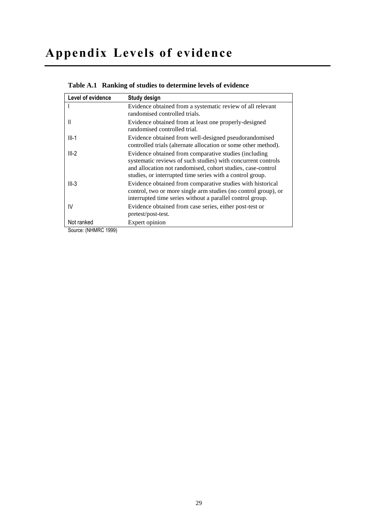# **Appendix Levels of evidence**

| Level of evidence                       | Study design                                                                                                                                                                                                                                      |
|-----------------------------------------|---------------------------------------------------------------------------------------------------------------------------------------------------------------------------------------------------------------------------------------------------|
|                                         | Evidence obtained from a systematic review of all relevant<br>randomised controlled trials.                                                                                                                                                       |
|                                         | Evidence obtained from at least one properly-designed<br>randomised controlled trial.                                                                                                                                                             |
| $III-1$                                 | Evidence obtained from well-designed pseudorandomised<br>controlled trials (alternate allocation or some other method).                                                                                                                           |
| $III-2$                                 | Evidence obtained from comparative studies (including<br>systematic reviews of such studies) with concurrent controls<br>and allocation not randomised, cohort studies, case-control<br>studies, or interrupted time series with a control group. |
| $III-3$                                 | Evidence obtained from comparative studies with historical<br>control, two or more single arm studies (no control group), or<br>interrupted time series without a parallel control group.                                                         |
| IV                                      | Evidence obtained from case series, either post-test or<br>pretest/post-test.                                                                                                                                                                     |
| Not ranked<br>$\ldots$ . ALLIMATO 4000) | Expert opinion                                                                                                                                                                                                                                    |

#### <span id="page-40-0"></span>**Table A.1 Ranking of studies to determine levels of evidence**

Source: [\(NHMRC 1999\)](#page-43-23)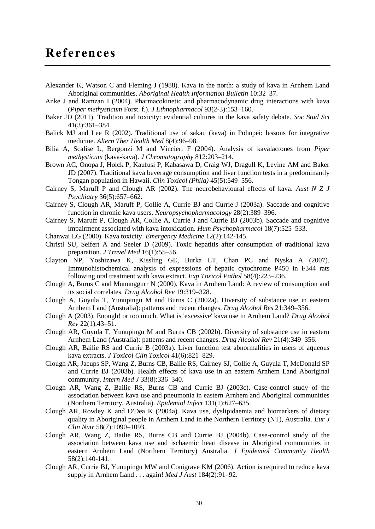- <span id="page-41-8"></span>Alexander K, Watson C and Fleming J (1988). Kava in the north: a study of kava in Arnhem Land Aboriginal communities. *Aboriginal Health Information Bulletin* 10:32–37.
- <span id="page-41-6"></span>Anke J and Ramzan I (2004). Pharmacokinetic and pharmacodynamic drug interactions with kava (*Piper methysticum* Forst. f.). *J Ethnopharmacol* 93(2-3):153–160.
- <span id="page-41-3"></span>Baker JD (2011). Tradition and toxicity: evidential cultures in the kava safety debate. *Soc Stud Sci* 41(3):361–384.
- <span id="page-41-19"></span>Balick MJ and Lee R (2002). Traditional use of sakau (kava) in Pohnpei: lessons for integrative medicine. *Altern Ther Health Med* 8(4):96–98.
- <span id="page-41-4"></span>Bilia A, Scalise L, Bergonzi M and Vincieri F (2004). Analysis of kavalactones from *Piper methysticum* (kava-kava). *J Chromatography* 812:203–214.
- <span id="page-41-0"></span>Brown AC, Onopa J, Holck P, Kaufusi P, Kabasawa D, Craig WJ, Dragull K, Levine AM and Baker JD (2007). Traditional kava beverage consumption and liver function tests in a predominantly Tongan population in Hawaii. *Clin Toxicol (Phila)* 45(5):549–556.
- <span id="page-41-5"></span>Cairney S, Maruff P and Clough AR (2002). The neurobehavioural effects of kava. *Aust N Z J Psychiatry* 36(5):657–662.
- <span id="page-41-13"></span>Cairney S, Clough AR, Maruff P, Collie A, Currie BJ and Currie J (2003a). Saccade and cognitive function in chronic kava users. *Neuropsychopharmacology* 28(2):389–396.
- <span id="page-41-14"></span>Cairney S, Maruff P, Clough AR, Collie A, Currie J and Currie BJ (2003b). Saccade and cognitive impairment associated with kava intoxication. *Hum Psychopharmacol* 18(7):525–533.
- <span id="page-41-9"></span>Chanwai LG (2000). Kava toxicity. *Emergency Medicine* 12(2):142-145.
- <span id="page-41-17"></span>Christl SU, Seifert A and Seeler D (2009). Toxic hepatitis after consumption of traditional kava preparation. *J Travel Med* 16(1):55–56.
- <span id="page-41-7"></span>Clayton NP, Yoshizawa K, Kissling GE, Burka LT, Chan PC and Nyska A (2007). Immunohistochemical analysis of expressions of hepatic cytochrome P450 in F344 rats following oral treatment with kava extract. *Exp Toxicol Pathol* 58(4):223–236.
- <span id="page-41-20"></span>Clough A, Burns C and Mununggurr N (2000). Kava in Arnhem Land: A review of consumption and its social correlates. *Drug Alcohol Rev* 19:319–328.
- <span id="page-41-18"></span>Clough A, Guyula T, Yunupingu M and Burns C (2002a). Diversity of substance use in eastern Arnhem Land (Australia): patterns and recent changes. *Drug Alcohol Res* 21:349–356.
- <span id="page-41-1"></span>Clough A (2003). Enough! or too much. What is 'excessive' kava use in Arnhem Land? *Drug Alcohol Rev* 22(1):43–51.
- <span id="page-41-2"></span>Clough AR, Guyula T, Yunupingu M and Burns CB (2002b). Diversity of substance use in eastern Arnhem Land (Australia): patterns and recent changes. *Drug Alcohol Rev* 21(4):349–356.
- <span id="page-41-16"></span>Clough AR, Bailie RS and Currie B (2003a). Liver function test abnormalities in users of aqueous kava extracts. *J Toxicol Clin Toxicol* 41(6):821–829.
- <span id="page-41-10"></span>Clough AR, Jacups SP, Wang Z, Burns CB, Bailie RS, Cairney SJ, Collie A, Guyula T, McDonald SP and Currie BJ (2003b). Health effects of kava use in an eastern Arnhem Land Aboriginal community. *Intern Med J* 33(8):336–340.
- <span id="page-41-15"></span>Clough AR, Wang Z, Bailie RS, Burns CB and Currie BJ (2003c). Case-control study of the association between kava use and pneumonia in eastern Arnhem and Aboriginal communities (Northern Territory, Australia). *Epidemiol Infect* 131(1):627–635.
- <span id="page-41-11"></span>Clough AR, Rowley K and O'Dea K (2004a). Kava use, dyslipidaemia and biomarkers of dietary quality in Aboriginal people in Arnhem Land in the Northern Territory (NT), Australia. *Eur J Clin Nutr* 58(7):1090–1093.
- <span id="page-41-12"></span>Clough AR, Wang Z, Bailie RS, Burns CB and Currie BJ (2004b). Case-control study of the association between kava use and ischaemic heart disease in Aboriginal communities in eastern Arnhem Land (Northern Territory) Australia. *J Epidemiol Community Health* 58(2):140-141.
- Clough AR, Currie BJ, Yunupingu MW and Conigrave KM (2006). Action is required to reduce kava supply in Arnhem Land . . . again! *Med J Aust* 184(2):91–92.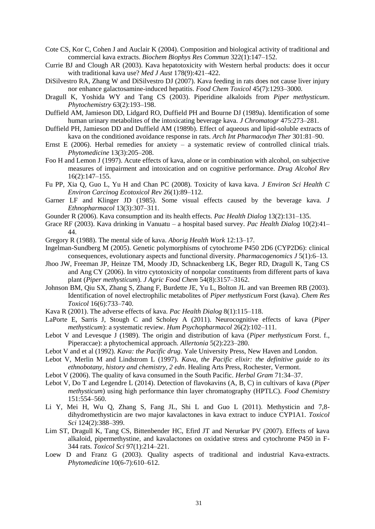- <span id="page-42-5"></span>Cote CS, Kor C, Cohen J and Auclair K (2004). Composition and biological activity of traditional and commercial kava extracts. *Biochem Biophys Res Commun* 322(1):147–152.
- <span id="page-42-1"></span>Currie BJ and Clough AR (2003). Kava hepatotoxicity with Western herbal products: does it occur with traditional kava use? *Med J Aust* 178(9):421–422.
- <span id="page-42-16"></span>DiSilvestro RA, Zhang W and DiSilvestro DJ (2007). Kava feeding in rats does not cause liver injury nor enhance galactosamine-induced hepatitis. *Food Chem Toxicol* 45(7):1293–3000.
- <span id="page-42-10"></span>Dragull K, Yoshida WY and Tang CS (2003). Piperidine alkaloids from *Piper methysticum*. *Phytochemistry* 63(2):193–198.
- <span id="page-42-12"></span>Duffield AM, Jamieson DD, Lidgard RO, Duffield PH and Bourne DJ (1989a). Identification of some human urinary metabolites of the intoxicating beverage kava. *J Chromatogr* 475:273–281.
- <span id="page-42-11"></span>Duffield PH, Jamieson DD and Duffield AM (1989b). Effect of aqueous and lipid-soluble extracts of kava on the conditioned avoidance response in rats. *Arch Int Pharmacodyn Ther* 301:81–90.
- <span id="page-42-22"></span>Ernst E (2006). Herbal remedies for anxiety – a systematic review of controlled clinical trials. *Phytomedicine* 13(3):205–208.
- <span id="page-42-21"></span>Foo H and Lemon J (1997). Acute effects of kava, alone or in combination with alcohol, on subjective measures of impairment and intoxication and on cognitive performance. *Drug Alcohol Rev* 16(2):147–155.
- <span id="page-42-7"></span>Fu PP, Xia Q, Guo L, Yu H and Chan PC (2008). Toxicity of kava kava. *J Environ Sci Health C Environ Carcinog Ecotoxicol Rev* 26(1):89–112.
- <span id="page-42-25"></span>Garner LF and Klinger JD (1985). Some visual effects caused by the beverage kava. *J Ethnopharmacol* 13(3):307–311.
- <span id="page-42-9"></span>Gounder R (2006). Kava consumption and its health effects. *Pac Health Dialog* 13(2):131–135.
- <span id="page-42-19"></span>Grace RF (2003). Kava drinking in Vanuatu – a hospital based survey. *Pac Health Dialog* 10(2):41– 44.
- <span id="page-42-20"></span>Gregory R (1988). The mental side of kava. *Aborig Health Work* 12:13–17.
- <span id="page-42-13"></span>Ingelman-Sundberg M (2005). Genetic polymorphisms of cytochrome P450 2D6 (CYP2D6): clinical consequences, evolutionary aspects and functional diversity. *Pharmacogenomics J* 5(1):6–13.
- <span id="page-42-23"></span>Jhoo JW, Freeman JP, Heinze TM, Moody JD, Schnackenberg LK, Beger RD, Dragull K, Tang CS and Ang CY (2006). In vitro cytotoxicity of nonpolar constituents from different parts of kava plant (*Piper methysticum*). *J Agric Food Chem* 54(8):3157–3162.
- <span id="page-42-14"></span>Johnson BM, Qiu SX, Zhang S, Zhang F, Burdette JE, Yu L, Bolton JL and van Breemen RB (2003). Identification of novel electrophilic metabolites of *Piper methysticum* Forst (kava). *Chem Res Toxicol* 16(6):733–740.
- <span id="page-42-18"></span>Kava R (2001). The adverse effects of kava. *Pac Health Dialog* 8(1):115–118.
- <span id="page-42-24"></span>LaPorte E, Sarris J, Stough C and Scholey A (2011). Neurocognitive effects of kava (*Piper methysticum*): a systematic review. *Hum Psychopharmacol* 26(2):102–111.
- <span id="page-42-8"></span>Lebot V and Levesque J (1989). The origin and distribution of kava (*Piper methysticum* Forst. f., Piperaccae): a phytochemical approach. *Allertonia* 5(2):223–280.
- <span id="page-42-6"></span>Lebot V and et al (1992). *Kava: the Pacific drug*. Yale University Press, New Haven and London.
- <span id="page-42-2"></span>Lebot V, Merlin M and Lindstrom L (1997). *Kava, the Pacific elixir: the definitive guide to its ethnobotany, history and chemistry, 2 edn*. Healing Arts Press, Rochester, Vermont.
- <span id="page-42-4"></span>Lebot V (2006). The quality of kava consumed in the South Pacific. *Herbal Gram* 71:34–37.
- <span id="page-42-3"></span>Lebot V, Do T and Legendre L (2014). Detection of flavokavins (A, B, C) in cultivars of kava (*Piper methysticum*) using high performance thin layer chromatography (HPTLC). *Food Chemistry* 151:554–560.
- <span id="page-42-15"></span>Li Y, Mei H, Wu Q, Zhang S, Fang JL, Shi L and Guo L (2011). Methysticin and 7,8 dihydromethysticin are two major kavalactones in kava extract to induce CYP1A1. *Toxicol Sci* 124(2):388–399.
- <span id="page-42-17"></span>Lim ST, Dragull K, Tang CS, Bittenbender HC, Efird JT and Nerurkar PV (2007). Effects of kava alkaloid, pipermethystine, and kavalactones on oxidative stress and cytochrome P450 in F-344 rats. *Toxicol Sci* 97(1):214–221.
- <span id="page-42-0"></span>Loew D and Franz G (2003). Quality aspects of traditional and industrial Kava-extracts. *Phytomedicine* 10(6-7):610–612.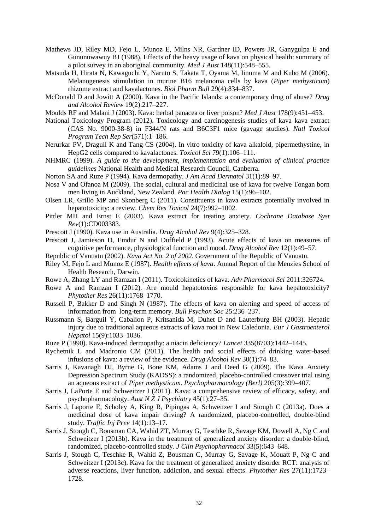- <span id="page-43-13"></span>Mathews JD, Riley MD, Fejo L, Munoz E, Milns NR, Gardner ID, Powers JR, Ganygulpa E and Gununuwawuy BJ (1988). Effects of the heavy usage of kava on physical health: summary of a pilot survey in an aboriginal community. *Med J Aust* 148(11):548–555.
- <span id="page-43-21"></span>Matsuda H, Hirata N, Kawaguchi Y, Naruto S, Takata T, Oyama M, Iinuma M and Kubo M (2006). Melanogenesis stimulation in murine B16 melanoma cells by kava (*Piper methysticum*) rhizome extract and kavalactones. *Biol Pharm Bull* 29(4):834–837.
- <span id="page-43-16"></span>McDonald D and Jowitt A (2000). Kava in the Pacific Islands: a contemporary drug of abuse? *Drug and Alcohol Review* 19(2):217–227.
- <span id="page-43-2"></span>Moulds RF and Malani J (2003). Kava: herbal panacea or liver poison? *Med J Aust* 178(9):451–453.
- <span id="page-43-9"></span>National Toxicology Program (2012). Toxicology and carcinogenesis studies of kava kava extract (CAS No. 9000-38-8) in F344/N rats and B6C3F1 mice (gavage studies). *Natl Toxicol Program Tech Rep Ser*(571):1–186.
- <span id="page-43-7"></span>Nerurkar PV, Dragull K and Tang CS (2004). In vitro toxicity of kava alkaloid, pipermethystine, in HepG2 cells compared to kavalactones. *Toxicol Sci* 79(1):106–111.
- <span id="page-43-23"></span>NHMRC (1999). *A guide to the development, implementation and evaluation of clinical practice guidelines* National Health and Medical Research Council, Canberra.
- <span id="page-43-4"></span>Norton SA and Ruze P (1994). Kava dermopathy. *J Am Acad Dermatol* 31(1):89–97.
- <span id="page-43-10"></span>Nosa V and Ofanoa M (2009). The social, cultural and medicinal use of kava for twelve Tongan born men living in Auckland, New Zealand. *Pac Health Dialog* 15(1):96–102.
- <span id="page-43-5"></span>Olsen LR, Grillo MP and Skonberg C (2011). Constituents in kava extracts potentially involved in hepatotoxicity: a review. *Chem Res Toxicol* 24(7):992–1002.
- <span id="page-43-1"></span>Pittler MH and Ernst E (2003). Kava extract for treating anxiety. *Cochrane Database Syst Rev*(1):CD003383.
- <span id="page-43-0"></span>Prescott J (1990). Kava use in Australia. *Drug Alcohol Rev* 9(4):325–328.
- <span id="page-43-17"></span>Prescott J, Jamieson D, Emdur N and Duffield P (1993). Acute effects of kava on measures of cognitive performance, physiological function and mood. *Drug Alcohol Rev* 12(1):49–57.
- <span id="page-43-3"></span>Republic of Vanuatu (2002). *Kava Act No. 2 of 2002*. Government of the Republic of Vanuatu.
- <span id="page-43-14"></span>Riley M, Fejo L and Munoz E (1987). *Health effects of kava*. Annual Report of the Menzies School of Health Research, Darwin.
- <span id="page-43-8"></span>Rowe A, Zhang LY and Ramzan I (2011). Toxicokinetics of kava. *Adv Pharmacol Sci* 2011:326724.
- <span id="page-43-19"></span>Rowe A and Ramzan I (2012). Are mould hepatotoxins responsible for kava hepatotoxicity? *Phytother Res* 26(11):1768–1770.
- <span id="page-43-18"></span>Russell P, Bakker D and Singh N (1987). The effects of kava on alerting and speed of access of information from long-term memory. *Bull Psychon Soc* 25:236–237.
- <span id="page-43-15"></span>Russmann S, Barguil Y, Cabalion P, Kritsanida M, Duhet D and Lauterburg BH (2003). Hepatic injury due to traditional aqueous extracts of kava root in New Caledonia. *Eur J Gastroenterol Hepatol* 15(9):1033–1036.
- <span id="page-43-22"></span>Ruze P (1990). Kava-induced dermopathy: a niacin deficiency? *Lancet* 335(8703):1442–1445.
- <span id="page-43-12"></span>Rychetnik L and Madronio CM (2011). The health and social effects of drinking water-based infusions of kava: a review of the evidence. *Drug Alcohol Rev* 30(1):74–83.
- <span id="page-43-11"></span>Sarris J, Kavanagh DJ, Byrne G, Bone KM, Adams J and Deed G (2009). The Kava Anxiety Depression Spectrum Study (KADSS): a randomized, placebo-controlled crossover trial using an aqueous extract of *Piper methysticum*. *Psychopharmacology (Berl)* 205(3):399–407.
- <span id="page-43-6"></span>Sarris J, LaPorte E and Schweitzer I (2011). Kava: a comprehensive review of efficacy, safety, and psychopharmacology. *Aust N Z J Psychiatry* 45(1):27–35.
- <span id="page-43-20"></span>Sarris J, Laporte E, Scholey A, King R, Pipingas A, Schweitzer I and Stough C (2013a). Does a medicinal dose of kava impair driving? A randomized, placebo-controlled, double-blind study. *Traffic Inj Prev* 14(1):13–17.
- Sarris J, Stough C, Bousman CA, Wahid ZT, Murray G, Teschke R, Savage KM, Dowell A, Ng C and Schweitzer I (2013b). Kava in the treatment of generalized anxiety disorder: a double-blind, randomized, placebo-controlled study. *J Clin Psychopharmacol* 33(5):643–648.
- Sarris J, Stough C, Teschke R, Wahid Z, Bousman C, Murray G, Savage K, Mouatt P, Ng C and Schweitzer I (2013c). Kava for the treatment of generalized anxiety disorder RCT: analysis of adverse reactions, liver function, addiction, and sexual effects. *Phytother Res* 27(11):1723– 1728.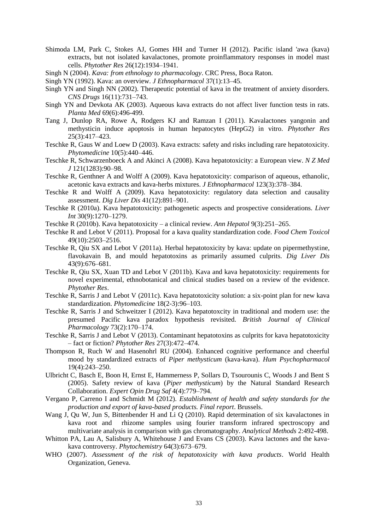- <span id="page-44-10"></span>Shimoda LM, Park C, Stokes AJ, Gomes HH and Turner H (2012). Pacific island 'awa (kava) extracts, but not isolated kavalactones, promote proinflammatory responses in model mast cells. *Phytother Res* 26(12):1934–1941.
- <span id="page-44-3"></span>Singh N (2004). *Kava: from ethnology to pharmacology*. CRC Press, Boca Raton.
- <span id="page-44-1"></span>Singh YN (1992). Kava: an overview. *J Ethnopharmacol* 37(1):13–45.
- <span id="page-44-13"></span>Singh YN and Singh NN (2002). Therapeutic potential of kava in the treatment of anxiety disorders. *CNS Drugs* 16(11):731–743.
- <span id="page-44-15"></span>Singh YN and Devkota AK (2003). Aqueous kava extracts do not affect liver function tests in rats. *Planta Med* 69(6):496-499.
- <span id="page-44-14"></span>Tang J, Dunlop RA, Rowe A, Rodgers KJ and Ramzan I (2011). Kavalactones yangonin and methysticin induce apoptosis in human hepatocytes (HepG2) in vitro. *Phytother Res* 25(3):417–423.
- <span id="page-44-5"></span>Teschke R, Gaus W and Loew D (2003). Kava extracts: safety and risks including rare hepatotoxicity. *Phytomedicine* 10(5):440–446.
- <span id="page-44-4"></span>Teschke R, Schwarzenboeck A and Akinci A (2008). Kava hepatotoxicity: a European view. *N Z Med J* 121(1283):90–98.
- <span id="page-44-19"></span>Teschke R, Genthner A and Wolff A (2009). Kava hepatotoxicity: comparison of aqueous, ethanolic, acetonic kava extracts and kava-herbs mixtures. *J Ethnopharmacol* 123(3):378–384.
- <span id="page-44-18"></span>Teschke R and Wolff A (2009). Kava hepatotoxicity: regulatory data selection and causality assessment. *Dig Liver Dis* 41(12):891–901.
- <span id="page-44-20"></span>Teschke R (2010a). Kava hepatotoxicity: pathogenetic aspects and prospective considerations. *Liver Int* 30(9):1270–1279.
- <span id="page-44-17"></span>Teschke R (2010b). Kava hepatotoxicity – a clinical review. *Ann Hepatol* 9(3):251–265.
- <span id="page-44-7"></span>Teschke R and Lebot V (2011). Proposal for a kava quality standardization code. *Food Chem Toxicol* 49(10):2503–2516.
- <span id="page-44-11"></span>Teschke R, Qiu SX and Lebot V (2011a). Herbal hepatotoxicity by kava: update on pipermethystine, flavokavain B, and mould hepatotoxins as primarily assumed culprits. *Dig Liver Dis* 43(9):676–681.
- <span id="page-44-16"></span>Teschke R, Qiu SX, Xuan TD and Lebot V (2011b). Kava and kava hepatotoxicity: requirements for novel experimental, ethnobotanical and clinical studies based on a review of the evidence. *Phytother Res*.
- <span id="page-44-8"></span>Teschke R, Sarris J and Lebot V (2011c). Kava hepatotoxicity solution: a six-point plan for new kava standardization. *Phytomedicine* 18(2-3):96–103.
- <span id="page-44-21"></span>Teschke R, Sarris J and Schweitzer I (2012). Kava hepatotoxcity in traditional and modern use: the presumed Pacific kava paradox hypothesis revisited. *British Journal of Clinical Pharmacology* 73(2):170–174.
- <span id="page-44-22"></span>Teschke R, Sarris J and Lebot V (2013). Contaminant hepatotoxins as culprits for kava hepatotoxicity – fact or fiction? *Phytother Res* 27(3):472–474.
- <span id="page-44-23"></span>Thompson R, Ruch W and Hasenohrl RU (2004). Enhanced cognitive performance and cheerful mood by standardized extracts of *Piper methysticum* (kava-kava). *Hum Psychopharmacol* 19(4):243–250.
- <span id="page-44-2"></span>Ulbricht C, Basch E, Boon H, Ernst E, Hammerness P, Sollars D, Tsourounis C, Woods J and Bent S (2005). Safety review of kava (*Piper methysticum*) by the Natural Standard Research Collaboration. *Expert Opin Drug Saf* 4(4):779–794.
- <span id="page-44-6"></span>Vergano P, Carreno I and Schmidt M (2012). *Establishment of health and safety standards for the production and export of kava-based products. Final report*. Brussels.
- <span id="page-44-9"></span>Wang J, Qu W, Jun S, Bittenbender H and Li Q (2010). Rapid determination of six kavalactones in kava root and rhizome samples using fourier transform infrared spectroscopy and multivariate analysis in comparison with gas chromatography. *Analytical Methods* 2:492-498.
- <span id="page-44-12"></span>Whitton PA, Lau A, Salisbury A, Whitehouse J and Evans CS (2003). Kava lactones and the kavakava controversy. *Phytochemistry* 64(3):673–679.
- <span id="page-44-0"></span>WHO (2007). *Assessment of the risk of hepatotoxicity with kava products*. World Health Organization, Geneva.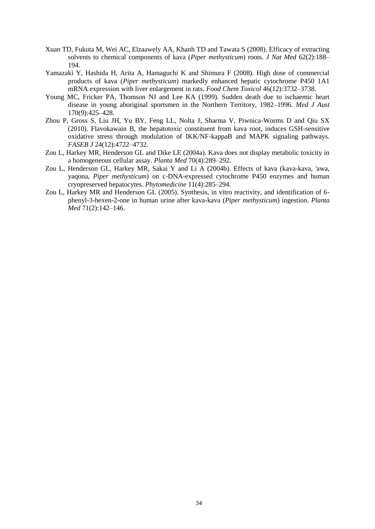- <span id="page-45-0"></span>Xuan TD, Fukuta M, Wei AC, Elzaawely AA, Khanh TD and Tawata S (2008). Efficacy of extracting solvents to chemical components of kava (*Piper methysticum*) roots. *J Nat Med* 62(2):188– 194.
- <span id="page-45-6"></span>Yamazaki Y, Hashida H, Arita A, Hamaguchi K and Shimura F (2008). High dose of commercial products of kava (*Piper methysticum*) markedly enhanced hepatic cytochrome P450 1A1 mRNA expression with liver enlargement in rats. *Food Chem Toxicol* 46(12):3732–3738.
- <span id="page-45-5"></span>Young MC, Fricker PA, Thomson NJ and Lee KA (1999). Sudden death due to ischaemic heart disease in young aboriginal sportsmen in the Northern Territory, 1982–1996. *Med J Aust* 170(9):425–428.
- <span id="page-45-1"></span>Zhou P, Gross S, Liu JH, Yu BY, Feng LL, Nolta J, Sharma V, Piwnica-Worms D and Qiu SX (2010). Flavokawain B, the hepatotoxic constituent from kava root, induces GSH-sensitive oxidative stress through modulation of IKK/NF-kappaB and MAPK signaling pathways. *FASEB J* 24(12):4722–4732.
- <span id="page-45-3"></span>Zou L, Harkey MR, Henderson GL and Dike LE (2004a). Kava does not display metabolic toxicity in a homogeneous cellular assay. *Planta Med* 70(4):289–292.
- <span id="page-45-4"></span>Zou L, Henderson GL, Harkey MR, Sakai Y and Li A (2004b). Effects of kava (kava-kava, 'awa, yaqona, *Piper methysticum*) on c-DNA-expressed cytochrome P450 enzymes and human cryopreserved hepatocytes. *Phytomedicine* 11(4):285–294.
- <span id="page-45-2"></span>Zou L, Harkey MR and Henderson GL (2005). Synthesis, in vitro reactivity, and identification of 6 phenyl-3-hexen-2-one in human urine after kava-kava (*Piper methysticum*) ingestion. *Planta Med* 71(2):142–146.